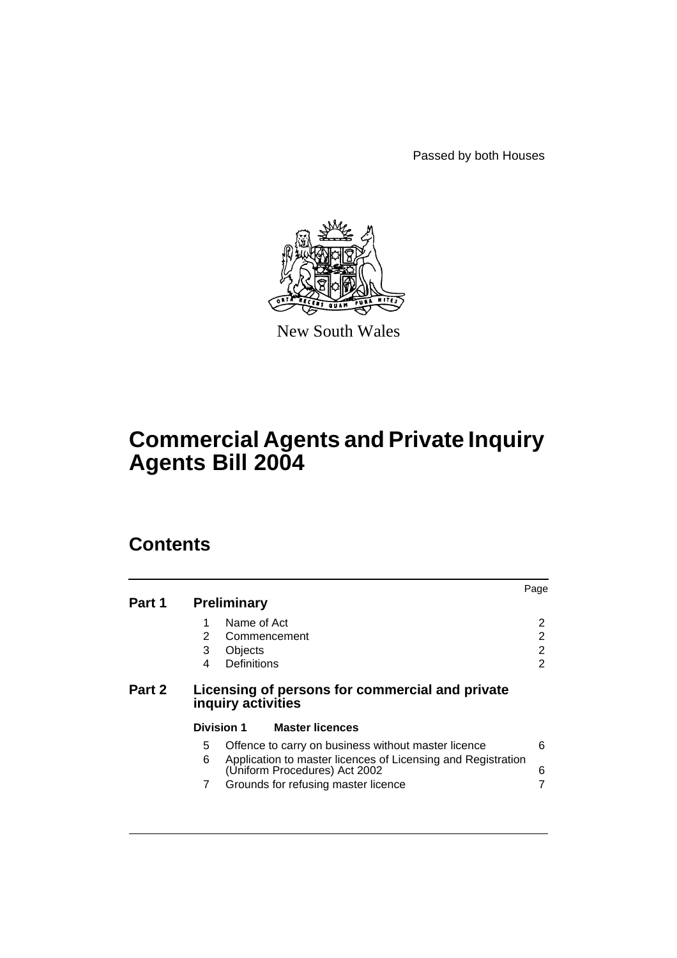Passed by both Houses



New South Wales

# **Commercial Agents and Private Inquiry Agents Bill 2004**

# **Contents**

| Part 1                                                                          | <b>Preliminary</b>                                                                                                                                              | Page   |
|---------------------------------------------------------------------------------|-----------------------------------------------------------------------------------------------------------------------------------------------------------------|--------|
|                                                                                 | Name of Act<br>2<br>Commencement                                                                                                                                | 2<br>2 |
|                                                                                 | 3<br>Objects<br>Definitions<br>4                                                                                                                                | 2<br>2 |
| Part 2<br>Licensing of persons for commercial and private<br>inquiry activities |                                                                                                                                                                 |        |
|                                                                                 | <b>Division 1</b><br><b>Master licences</b>                                                                                                                     |        |
|                                                                                 |                                                                                                                                                                 |        |
|                                                                                 | Offence to carry on business without master licence<br>5.<br>6<br>Application to master licences of Licensing and Registration<br>(Uniform Procedures) Act 2002 | 6<br>6 |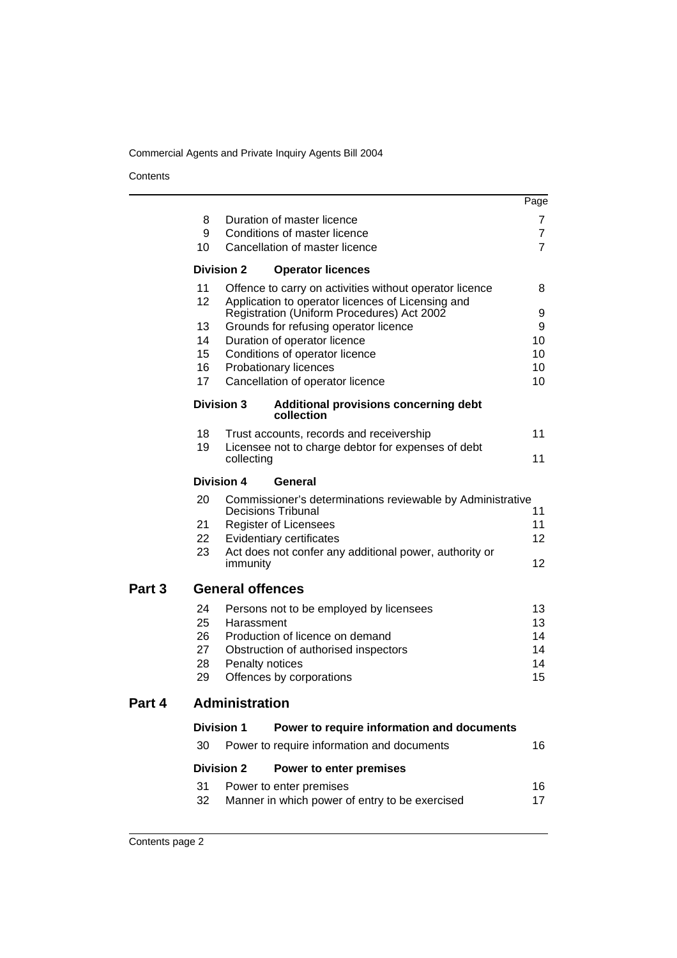#### **Contents**

|        |                         |                                                                |                                                                                                              | Page              |  |
|--------|-------------------------|----------------------------------------------------------------|--------------------------------------------------------------------------------------------------------------|-------------------|--|
|        | 8                       |                                                                | Duration of master licence                                                                                   | 7                 |  |
|        | 9                       |                                                                | Conditions of master licence                                                                                 | $\overline{7}$    |  |
|        | 10                      |                                                                | Cancellation of master licence                                                                               | $\overline{7}$    |  |
|        |                         | <b>Division 2</b>                                              | <b>Operator licences</b>                                                                                     |                   |  |
|        | 11<br>12                |                                                                | Offence to carry on activities without operator licence<br>Application to operator licences of Licensing and | 8                 |  |
|        |                         |                                                                | Registration (Uniform Procedures) Act 2002                                                                   | 9                 |  |
|        | 13<br>14                |                                                                | Grounds for refusing operator licence                                                                        | 9<br>10           |  |
|        | 15                      | Duration of operator licence<br>Conditions of operator licence |                                                                                                              |                   |  |
|        | 16                      | Probationary licences                                          |                                                                                                              |                   |  |
|        | 17                      |                                                                | Cancellation of operator licence                                                                             | 10                |  |
|        | <b>Division 3</b>       |                                                                | <b>Additional provisions concerning debt</b><br>collection                                                   |                   |  |
|        | 18                      |                                                                | Trust accounts, records and receivership                                                                     | 11                |  |
|        | 19                      | collecting                                                     | Licensee not to charge debtor for expenses of debt                                                           | 11                |  |
|        |                         | <b>Division 4</b>                                              | General                                                                                                      |                   |  |
|        | 20                      |                                                                | Commissioner's determinations reviewable by Administrative<br><b>Decisions Tribunal</b>                      | 11                |  |
|        | 21                      |                                                                | <b>Register of Licensees</b>                                                                                 | 11                |  |
|        | 22                      |                                                                | Evidentiary certificates                                                                                     | 12                |  |
|        | 23                      | immunity                                                       | Act does not confer any additional power, authority or                                                       | $12 \overline{ }$ |  |
| Part 3 | <b>General offences</b> |                                                                |                                                                                                              |                   |  |
|        | 24                      |                                                                | Persons not to be employed by licensees                                                                      | 13                |  |
|        | 25                      | Harassment                                                     |                                                                                                              | 13                |  |
|        | 26                      |                                                                | Production of licence on demand                                                                              | 14                |  |
|        | 27<br>28                |                                                                | Obstruction of authorised inspectors<br>Penalty notices                                                      | 14<br>14          |  |
|        | 29                      |                                                                | Offences by corporations                                                                                     | 15                |  |
| Part 4 | <b>Administration</b>   |                                                                |                                                                                                              |                   |  |
|        |                         | <b>Division 1</b>                                              | Power to require information and documents                                                                   |                   |  |
|        | 30                      |                                                                | Power to require information and documents                                                                   | 16                |  |
|        |                         | <b>Division 2</b>                                              | Power to enter premises                                                                                      |                   |  |
|        | 31                      |                                                                | Power to enter premises                                                                                      | 16                |  |
|        | 32                      |                                                                | Manner in which power of entry to be exercised                                                               | 17                |  |
|        |                         |                                                                |                                                                                                              |                   |  |
|        |                         |                                                                |                                                                                                              |                   |  |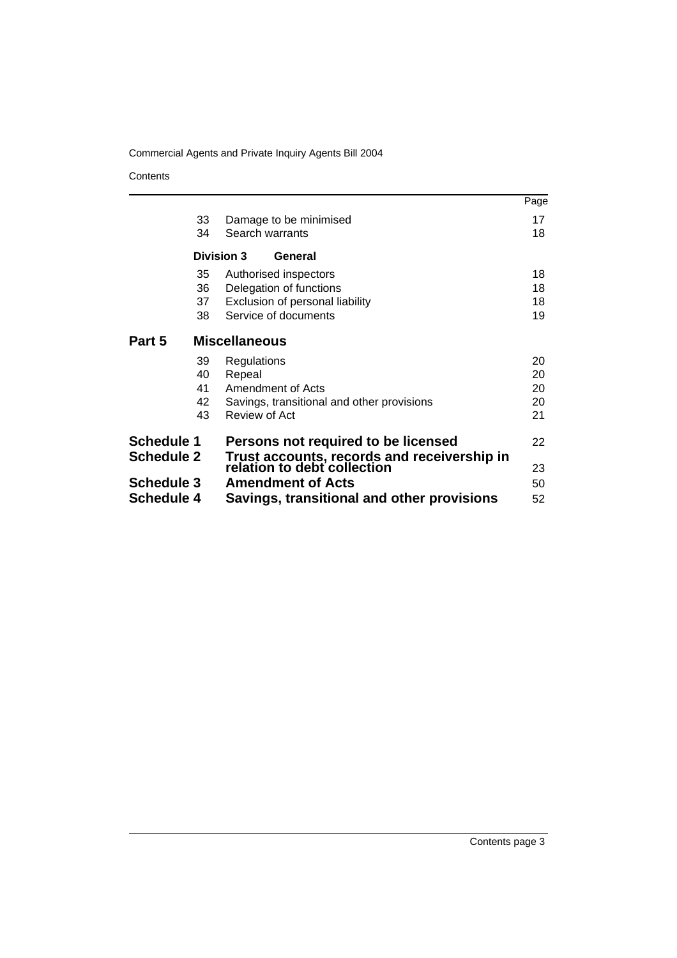**Contents** 

|                                 |    |                                                                            | Page |
|---------------------------------|----|----------------------------------------------------------------------------|------|
|                                 | 33 | Damage to be minimised                                                     | 17   |
|                                 | 34 | Search warrants                                                            | 18   |
|                                 |    | <b>Division 3</b><br>General                                               |      |
|                                 | 35 | Authorised inspectors                                                      | 18   |
|                                 | 36 | Delegation of functions                                                    | 18   |
|                                 | 37 | Exclusion of personal liability                                            | 18   |
|                                 | 38 | Service of documents                                                       | 19   |
| Part 5                          |    | <b>Miscellaneous</b>                                                       |      |
|                                 | 39 | Regulations                                                                | 20   |
|                                 | 40 | Repeal                                                                     | 20   |
|                                 | 41 | Amendment of Acts                                                          | 20   |
|                                 | 42 | Savings, transitional and other provisions                                 | 20   |
|                                 | 43 | Review of Act                                                              | 21   |
| Schedule 1<br><b>Schedule 2</b> |    | Persons not required to be licensed                                        | 22   |
|                                 |    | Trust accounts, records and receivership in<br>relation to debt collection |      |
|                                 |    |                                                                            |      |
| <b>Schedule 4</b>               |    | Savings, transitional and other provisions                                 | 52   |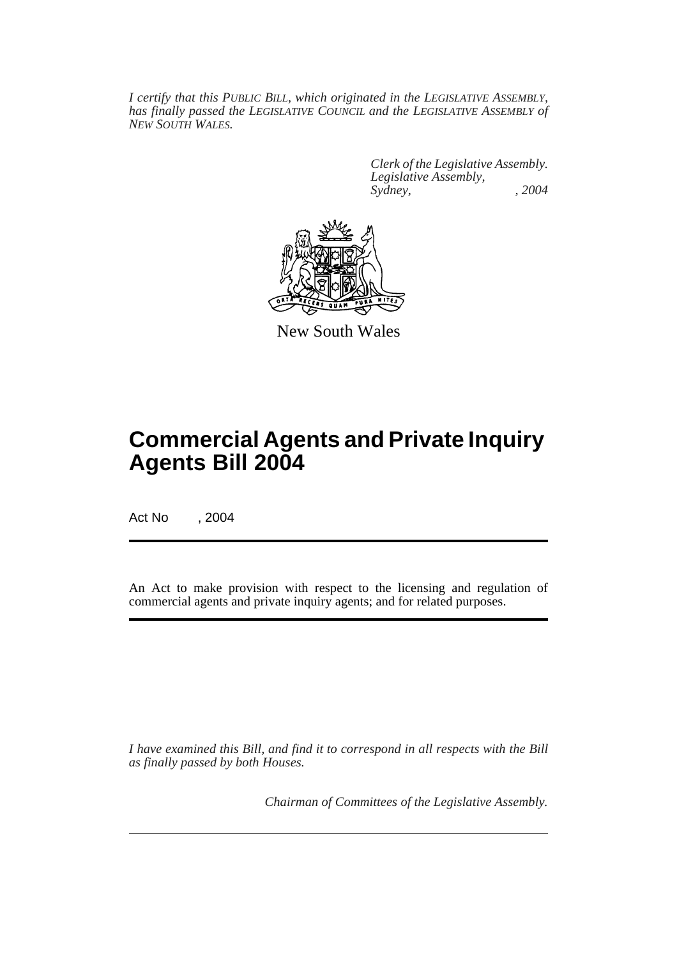*I certify that this PUBLIC BILL, which originated in the LEGISLATIVE ASSEMBLY, has finally passed the LEGISLATIVE COUNCIL and the LEGISLATIVE ASSEMBLY of NEW SOUTH WALES.*

> *Clerk of the Legislative Assembly. Legislative Assembly, Sydney, , 2004*



New South Wales

# **Commercial Agents and Private Inquiry Agents Bill 2004**

Act No , 2004

An Act to make provision with respect to the licensing and regulation of commercial agents and private inquiry agents; and for related purposes.

*I have examined this Bill, and find it to correspond in all respects with the Bill as finally passed by both Houses.*

*Chairman of Committees of the Legislative Assembly.*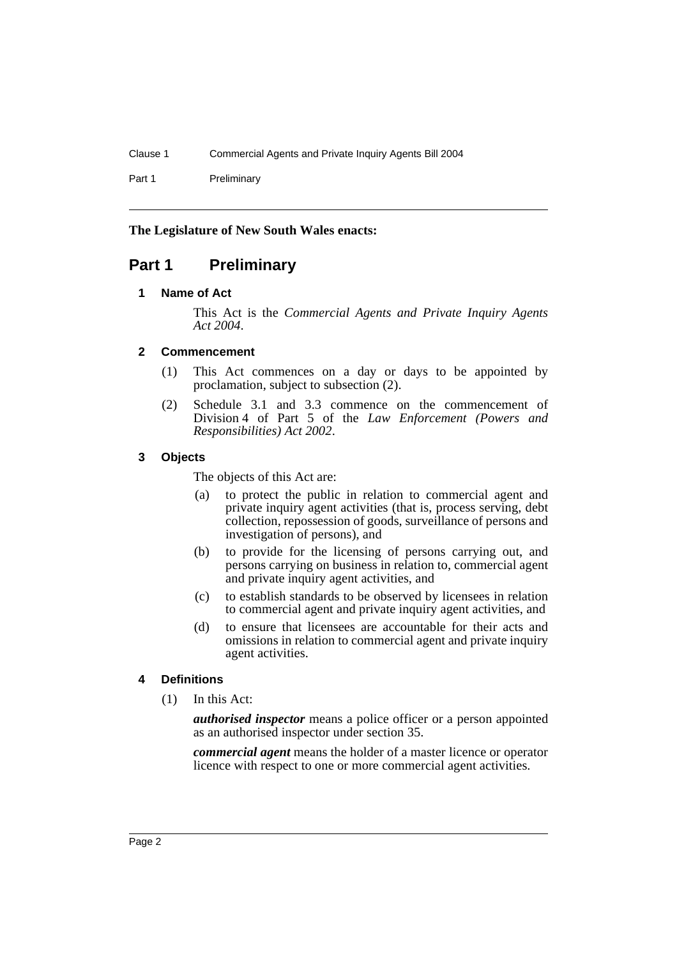Part 1 Preliminary

#### **The Legislature of New South Wales enacts:**

### **Part 1 Preliminary**

#### **1 Name of Act**

This Act is the *Commercial Agents and Private Inquiry Agents Act 2004*.

#### **2 Commencement**

- (1) This Act commences on a day or days to be appointed by proclamation, subject to subsection (2).
- (2) Schedule 3.1 and 3.3 commence on the commencement of Division 4 of Part 5 of the *Law Enforcement (Powers and Responsibilities) Act 2002*.

#### **3 Objects**

The objects of this Act are:

- (a) to protect the public in relation to commercial agent and private inquiry agent activities (that is, process serving, debt collection, repossession of goods, surveillance of persons and investigation of persons), and
- (b) to provide for the licensing of persons carrying out, and persons carrying on business in relation to, commercial agent and private inquiry agent activities, and
- (c) to establish standards to be observed by licensees in relation to commercial agent and private inquiry agent activities, and
- (d) to ensure that licensees are accountable for their acts and omissions in relation to commercial agent and private inquiry agent activities.

### **4 Definitions**

(1) In this Act:

*authorised inspector* means a police officer or a person appointed as an authorised inspector under section 35.

*commercial agent* means the holder of a master licence or operator licence with respect to one or more commercial agent activities.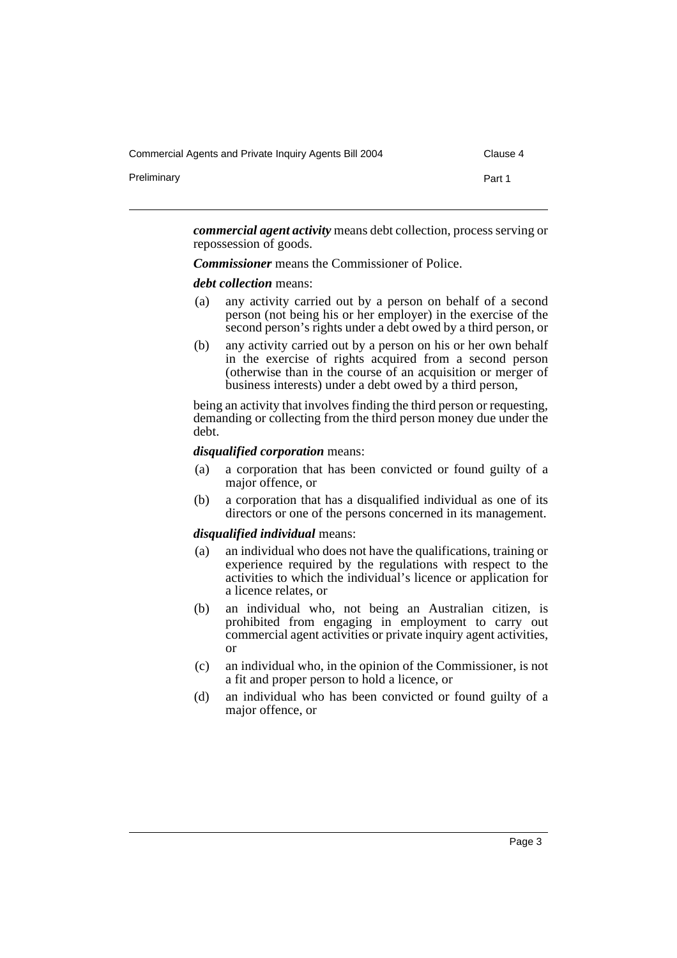Commercial Agents and Private Inquiry Agents Bill 2004 Clause 4

Preliminary **Preliminary** Part 1

*commercial agent activity* means debt collection, process serving or repossession of goods.

*Commissioner* means the Commissioner of Police.

#### *debt collection* means:

- (a) any activity carried out by a person on behalf of a second person (not being his or her employer) in the exercise of the second person's rights under a debt owed by a third person, or
- (b) any activity carried out by a person on his or her own behalf in the exercise of rights acquired from a second person (otherwise than in the course of an acquisition or merger of business interests) under a debt owed by a third person,

being an activity that involves finding the third person or requesting, demanding or collecting from the third person money due under the debt.

#### *disqualified corporation* means:

- (a) a corporation that has been convicted or found guilty of a major offence, or
- (b) a corporation that has a disqualified individual as one of its directors or one of the persons concerned in its management.

#### *disqualified individual* means:

- (a) an individual who does not have the qualifications, training or experience required by the regulations with respect to the activities to which the individual's licence or application for a licence relates, or
- (b) an individual who, not being an Australian citizen, is prohibited from engaging in employment to carry out commercial agent activities or private inquiry agent activities, or
- (c) an individual who, in the opinion of the Commissioner, is not a fit and proper person to hold a licence, or
- (d) an individual who has been convicted or found guilty of a major offence, or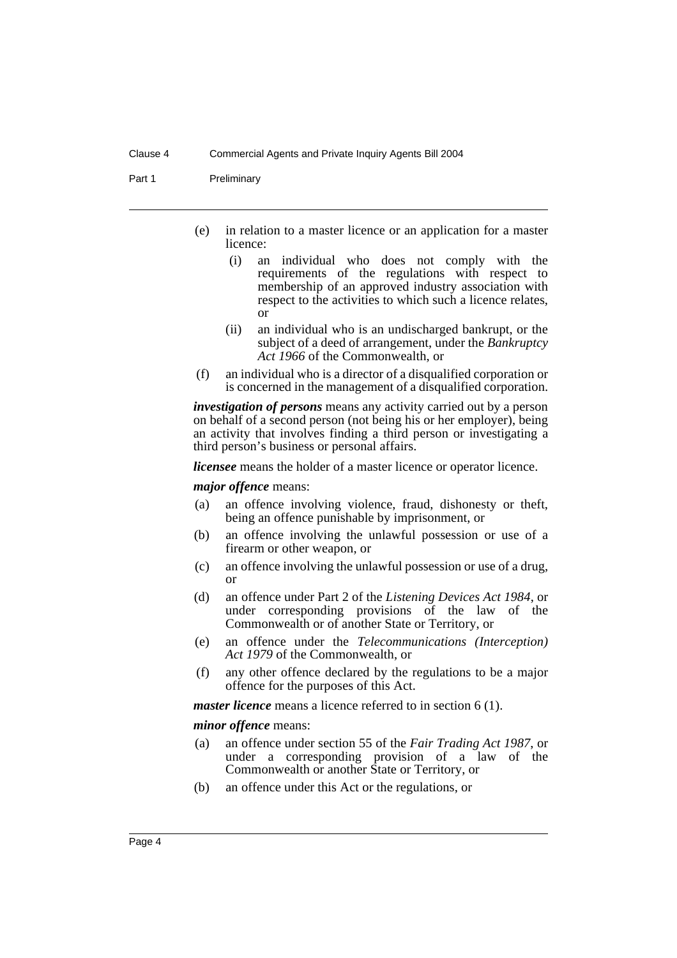Part 1 Preliminary

- (e) in relation to a master licence or an application for a master licence:
	- (i) an individual who does not comply with the requirements of the regulations with respect to membership of an approved industry association with respect to the activities to which such a licence relates, or
	- (ii) an individual who is an undischarged bankrupt, or the subject of a deed of arrangement, under the *Bankruptcy Act 1966* of the Commonwealth, or
- (f) an individual who is a director of a disqualified corporation or is concerned in the management of a disqualified corporation.

*investigation of persons* means any activity carried out by a person on behalf of a second person (not being his or her employer), being an activity that involves finding a third person or investigating a third person's business or personal affairs.

*licensee* means the holder of a master licence or operator licence.

*major offence* means:

- (a) an offence involving violence, fraud, dishonesty or theft, being an offence punishable by imprisonment, or
- (b) an offence involving the unlawful possession or use of a firearm or other weapon, or
- (c) an offence involving the unlawful possession or use of a drug, or
- (d) an offence under Part 2 of the *Listening Devices Act 1984*, or under corresponding provisions of the law of the Commonwealth or of another State or Territory, or
- (e) an offence under the *Telecommunications (Interception) Act 1979* of the Commonwealth, or
- (f) any other offence declared by the regulations to be a major offence for the purposes of this Act.

*master licence* means a licence referred to in section 6 (1).

*minor offence* means:

- (a) an offence under section 55 of the *Fair Trading Act 1987*, or under a corresponding provision of a law of the Commonwealth or another State or Territory, or
- (b) an offence under this Act or the regulations, or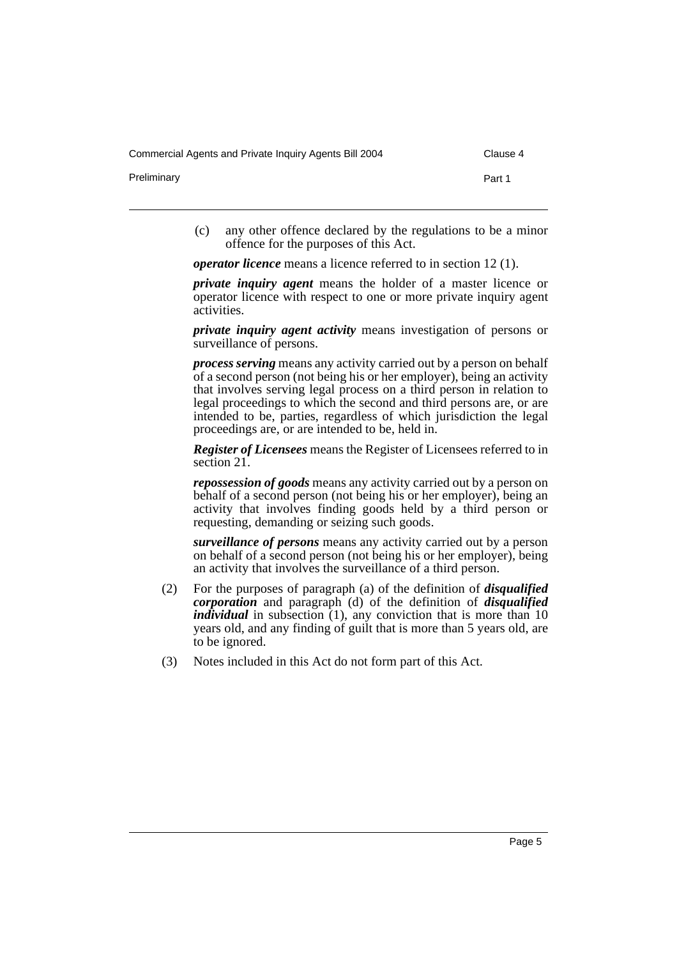Commercial Agents and Private Inquiry Agents Bill 2004 Clause 4

Preliminary **Preliminary** Part 1

- 
- (c) any other offence declared by the regulations to be a minor offence for the purposes of this Act.

*operator licence* means a licence referred to in section 12 (1).

*private inquiry agent* means the holder of a master licence or operator licence with respect to one or more private inquiry agent activities.

*private inquiry agent activity* means investigation of persons or surveillance of persons.

*process serving* means any activity carried out by a person on behalf of a second person (not being his or her employer), being an activity that involves serving legal process on a third person in relation to legal proceedings to which the second and third persons are, or are intended to be, parties, regardless of which jurisdiction the legal proceedings are, or are intended to be, held in.

*Register of Licensees* means the Register of Licensees referred to in section 21.

*repossession of goods* means any activity carried out by a person on behalf of a second person (not being his or her employer), being an activity that involves finding goods held by a third person or requesting, demanding or seizing such goods.

*surveillance of persons* means any activity carried out by a person on behalf of a second person (not being his or her employer), being an activity that involves the surveillance of a third person.

- (2) For the purposes of paragraph (a) of the definition of *disqualified corporation* and paragraph (d) of the definition of *disqualified individual* in subsection (1), any conviction that is more than 10 years old, and any finding of guilt that is more than 5 years old, are to be ignored.
- (3) Notes included in this Act do not form part of this Act.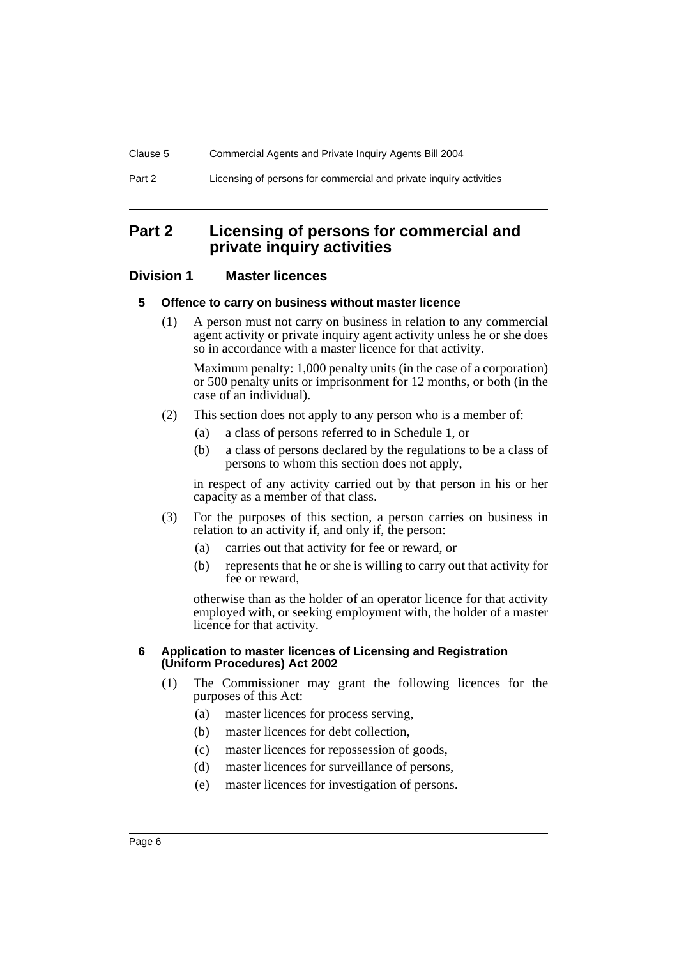### **Part 2 Licensing of persons for commercial and private inquiry activities**

### **Division 1 Master licences**

#### **5 Offence to carry on business without master licence**

(1) A person must not carry on business in relation to any commercial agent activity or private inquiry agent activity unless he or she does so in accordance with a master licence for that activity.

Maximum penalty: 1,000 penalty units (in the case of a corporation) or 500 penalty units or imprisonment for 12 months, or both (in the case of an individual).

- (2) This section does not apply to any person who is a member of:
	- (a) a class of persons referred to in Schedule 1, or
	- (b) a class of persons declared by the regulations to be a class of persons to whom this section does not apply,

in respect of any activity carried out by that person in his or her capacity as a member of that class.

- (3) For the purposes of this section, a person carries on business in relation to an activity if, and only if, the person:
	- (a) carries out that activity for fee or reward, or
	- (b) represents that he or she is willing to carry out that activity for fee or reward,

otherwise than as the holder of an operator licence for that activity employed with, or seeking employment with, the holder of a master licence for that activity.

#### **6 Application to master licences of Licensing and Registration (Uniform Procedures) Act 2002**

- (1) The Commissioner may grant the following licences for the purposes of this Act:
	- (a) master licences for process serving,
	- (b) master licences for debt collection,
	- (c) master licences for repossession of goods,
	- (d) master licences for surveillance of persons,
	- (e) master licences for investigation of persons.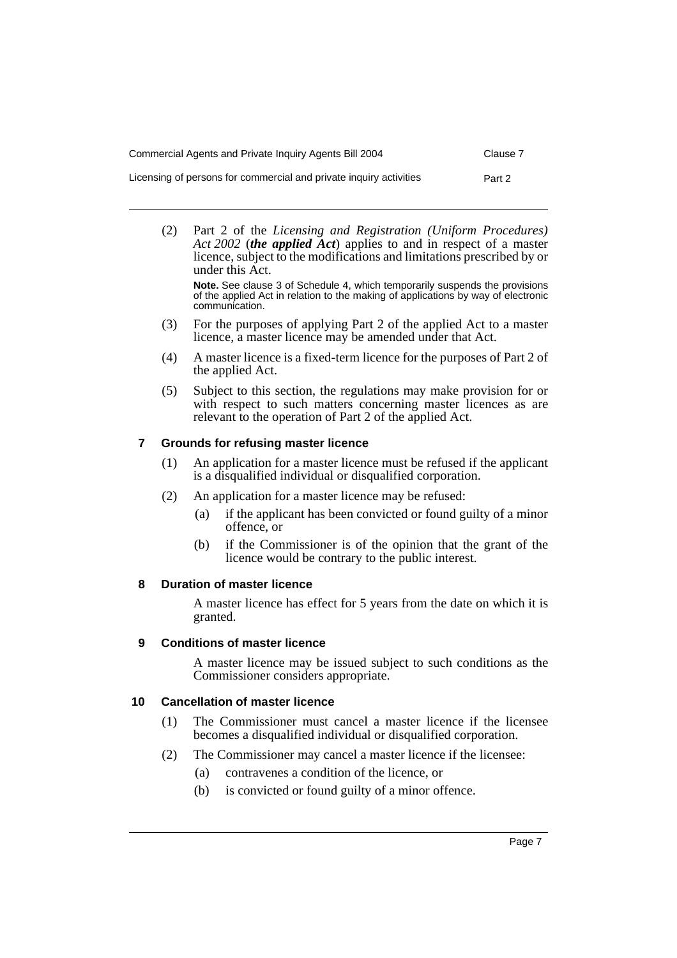| Commercial Agents and Private Inquiry Agents Bill 2004             | Clause 7 |
|--------------------------------------------------------------------|----------|
| Licensing of persons for commercial and private inguiry activities | Part 2   |

(2) Part 2 of the *Licensing and Registration (Uniform Procedures) Act 2002* (*the applied Act*) applies to and in respect of a master licence, subject to the modifications and limitations prescribed by or under this Act.

**Note.** See clause 3 of Schedule 4, which temporarily suspends the provisions of the applied Act in relation to the making of applications by way of electronic communication.

- (3) For the purposes of applying Part 2 of the applied Act to a master licence, a master licence may be amended under that Act.
- (4) A master licence is a fixed-term licence for the purposes of Part 2 of the applied Act.
- (5) Subject to this section, the regulations may make provision for or with respect to such matters concerning master licences as are relevant to the operation of Part 2 of the applied Act.

### **7 Grounds for refusing master licence**

- (1) An application for a master licence must be refused if the applicant is a disqualified individual or disqualified corporation.
- (2) An application for a master licence may be refused:
	- (a) if the applicant has been convicted or found guilty of a minor offence, or
	- (b) if the Commissioner is of the opinion that the grant of the licence would be contrary to the public interest.

#### **8 Duration of master licence**

A master licence has effect for 5 years from the date on which it is granted.

### **9 Conditions of master licence**

A master licence may be issued subject to such conditions as the Commissioner considers appropriate.

### **10 Cancellation of master licence**

- (1) The Commissioner must cancel a master licence if the licensee becomes a disqualified individual or disqualified corporation.
- (2) The Commissioner may cancel a master licence if the licensee:
	- (a) contravenes a condition of the licence, or
	- (b) is convicted or found guilty of a minor offence.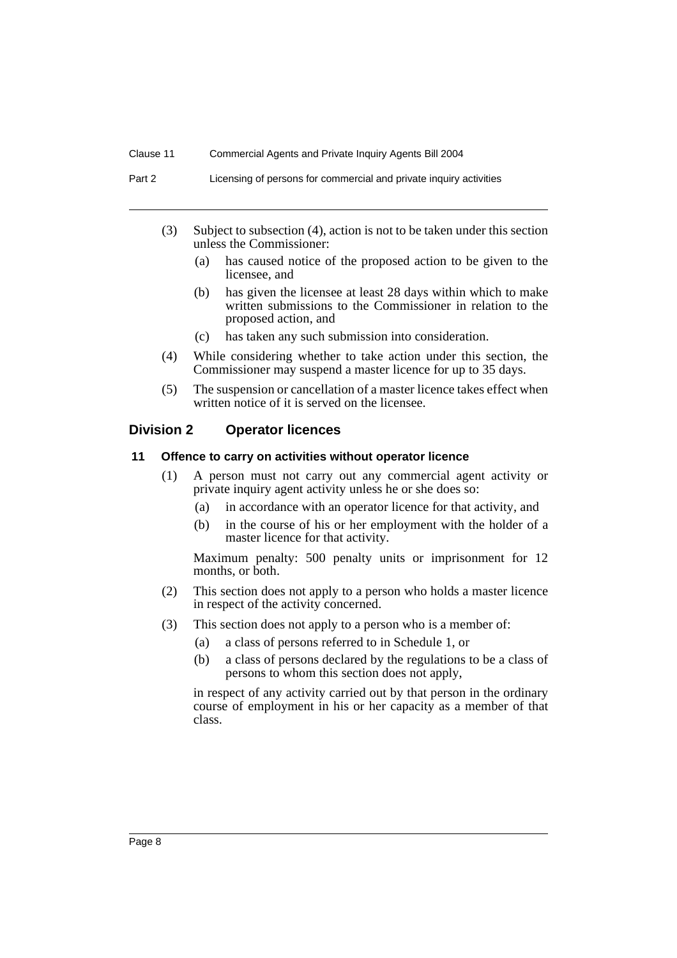Part 2 Licensing of persons for commercial and private inquiry activities

- (3) Subject to subsection (4), action is not to be taken under this section unless the Commissioner:
	- (a) has caused notice of the proposed action to be given to the licensee, and
	- (b) has given the licensee at least 28 days within which to make written submissions to the Commissioner in relation to the proposed action, and
	- (c) has taken any such submission into consideration.
- (4) While considering whether to take action under this section, the Commissioner may suspend a master licence for up to 35 days.
- (5) The suspension or cancellation of a master licence takes effect when written notice of it is served on the licensee.

#### **Division 2 Operator licences**

#### **11 Offence to carry on activities without operator licence**

- (1) A person must not carry out any commercial agent activity or private inquiry agent activity unless he or she does so:
	- (a) in accordance with an operator licence for that activity, and
	- (b) in the course of his or her employment with the holder of a master licence for that activity.

Maximum penalty: 500 penalty units or imprisonment for 12 months, or both.

- (2) This section does not apply to a person who holds a master licence in respect of the activity concerned.
- (3) This section does not apply to a person who is a member of:
	- (a) a class of persons referred to in Schedule 1, or
	- (b) a class of persons declared by the regulations to be a class of persons to whom this section does not apply,

in respect of any activity carried out by that person in the ordinary course of employment in his or her capacity as a member of that class.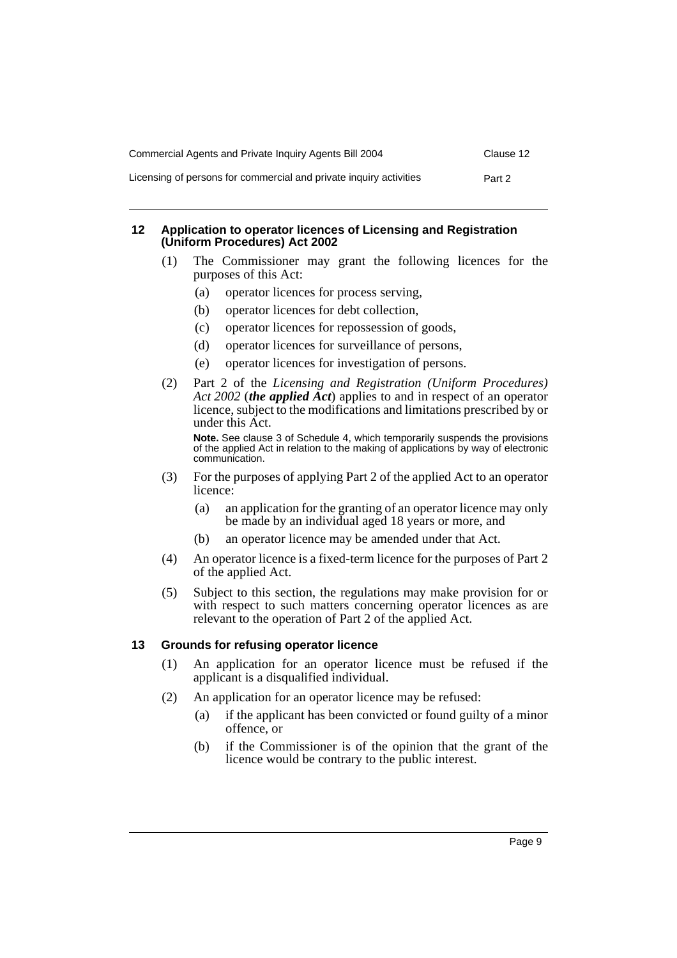| Commercial Agents and Private Inquiry Agents Bill 2004             | Clause 12 |
|--------------------------------------------------------------------|-----------|
| Licensing of persons for commercial and private inguiry activities | Part 2    |

#### **12 Application to operator licences of Licensing and Registration (Uniform Procedures) Act 2002**

- (1) The Commissioner may grant the following licences for the purposes of this Act:
	- (a) operator licences for process serving,
	- (b) operator licences for debt collection,
	- (c) operator licences for repossession of goods,
	- (d) operator licences for surveillance of persons,
	- (e) operator licences for investigation of persons.
- (2) Part 2 of the *Licensing and Registration (Uniform Procedures) Act 2002* (*the applied Act*) applies to and in respect of an operator licence, subject to the modifications and limitations prescribed by or under this Act.

**Note.** See clause 3 of Schedule 4, which temporarily suspends the provisions of the applied Act in relation to the making of applications by way of electronic communication.

- (3) For the purposes of applying Part 2 of the applied Act to an operator licence:
	- (a) an application for the granting of an operator licence may only be made by an individual aged 18 years or more, and
	- (b) an operator licence may be amended under that Act.
- (4) An operator licence is a fixed-term licence for the purposes of Part 2 of the applied Act.
- (5) Subject to this section, the regulations may make provision for or with respect to such matters concerning operator licences as are relevant to the operation of Part 2 of the applied Act.

### **13 Grounds for refusing operator licence**

- (1) An application for an operator licence must be refused if the applicant is a disqualified individual.
- (2) An application for an operator licence may be refused:
	- (a) if the applicant has been convicted or found guilty of a minor offence, or
	- (b) if the Commissioner is of the opinion that the grant of the licence would be contrary to the public interest.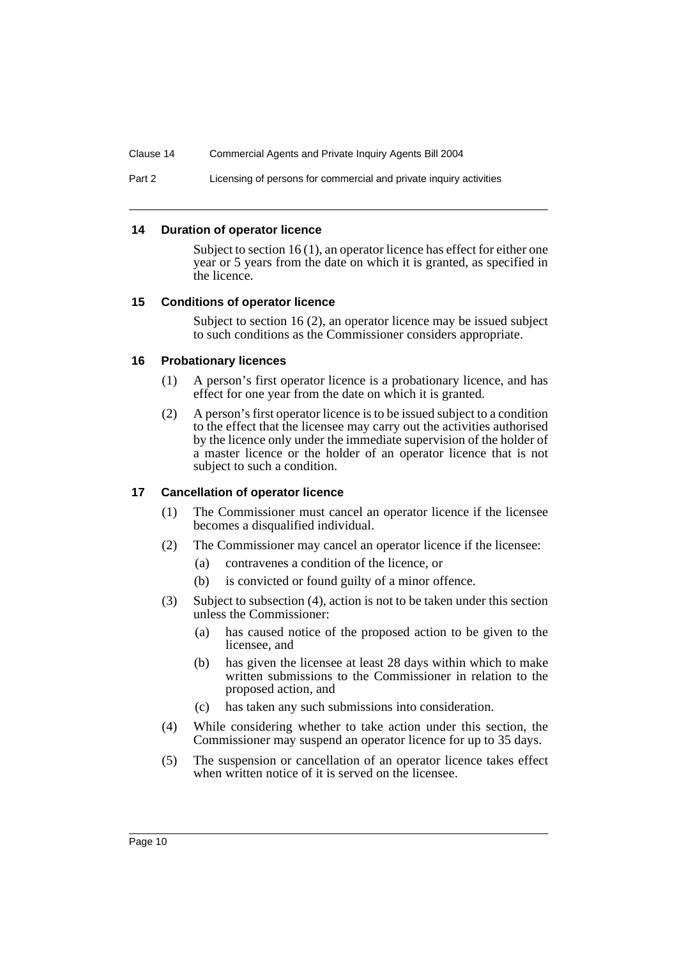Part 2 Licensing of persons for commercial and private inquiry activities

#### **14 Duration of operator licence**

Subject to section 16 (1), an operator licence has effect for either one year or 5 years from the date on which it is granted, as specified in the licence.

#### **15 Conditions of operator licence**

Subject to section 16 (2), an operator licence may be issued subject to such conditions as the Commissioner considers appropriate.

#### **16 Probationary licences**

- (1) A person's first operator licence is a probationary licence, and has effect for one year from the date on which it is granted.
- (2) A person's first operator licence is to be issued subject to a condition to the effect that the licensee may carry out the activities authorised by the licence only under the immediate supervision of the holder of a master licence or the holder of an operator licence that is not subject to such a condition.

#### **17 Cancellation of operator licence**

- (1) The Commissioner must cancel an operator licence if the licensee becomes a disqualified individual.
- (2) The Commissioner may cancel an operator licence if the licensee:
	- (a) contravenes a condition of the licence, or
	- (b) is convicted or found guilty of a minor offence.
- (3) Subject to subsection (4), action is not to be taken under this section unless the Commissioner:
	- (a) has caused notice of the proposed action to be given to the licensee, and
	- (b) has given the licensee at least 28 days within which to make written submissions to the Commissioner in relation to the proposed action, and
	- (c) has taken any such submissions into consideration.
- (4) While considering whether to take action under this section, the Commissioner may suspend an operator licence for up to 35 days.
- (5) The suspension or cancellation of an operator licence takes effect when written notice of it is served on the licensee.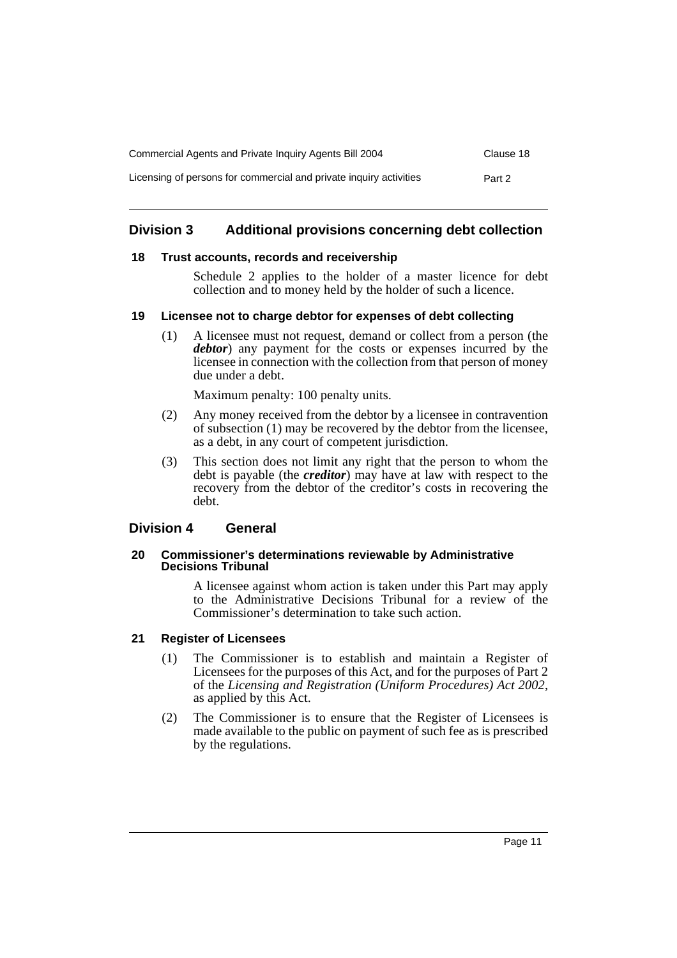| Commercial Agents and Private Inquiry Agents Bill 2004             | Clause 18 |
|--------------------------------------------------------------------|-----------|
| Licensing of persons for commercial and private inguiry activities | Part 2    |

### **Division 3 Additional provisions concerning debt collection**

#### **18 Trust accounts, records and receivership**

Schedule 2 applies to the holder of a master licence for debt collection and to money held by the holder of such a licence.

#### **19 Licensee not to charge debtor for expenses of debt collecting**

(1) A licensee must not request, demand or collect from a person (the *debtor*) any payment for the costs or expenses incurred by the licensee in connection with the collection from that person of money due under a debt.

Maximum penalty: 100 penalty units.

- (2) Any money received from the debtor by a licensee in contravention of subsection (1) may be recovered by the debtor from the licensee, as a debt, in any court of competent jurisdiction.
- (3) This section does not limit any right that the person to whom the debt is payable (the *creditor*) may have at law with respect to the recovery from the debtor of the creditor's costs in recovering the debt.

### **Division 4 General**

#### **20 Commissioner's determinations reviewable by Administrative Decisions Tribunal**

A licensee against whom action is taken under this Part may apply to the Administrative Decisions Tribunal for a review of the Commissioner's determination to take such action.

### **21 Register of Licensees**

- (1) The Commissioner is to establish and maintain a Register of Licensees for the purposes of this Act, and for the purposes of Part 2 of the *Licensing and Registration (Uniform Procedures) Act 2002*, as applied by this Act.
- (2) The Commissioner is to ensure that the Register of Licensees is made available to the public on payment of such fee as is prescribed by the regulations.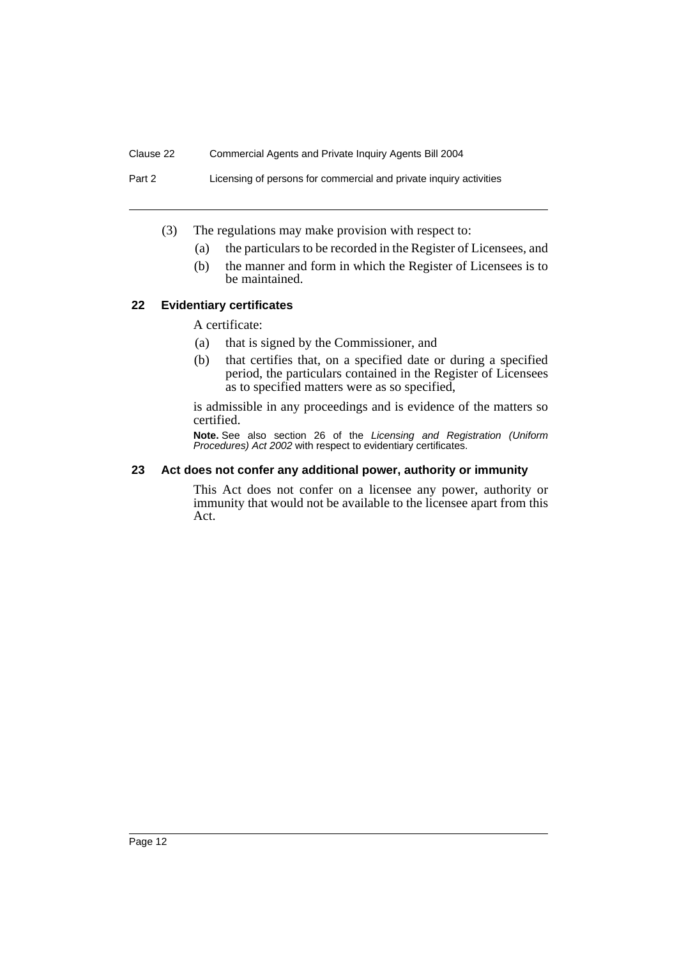Part 2 Licensing of persons for commercial and private inquiry activities

- (3) The regulations may make provision with respect to:
	- (a) the particulars to be recorded in the Register of Licensees, and
	- (b) the manner and form in which the Register of Licensees is to be maintained.

#### **22 Evidentiary certificates**

A certificate:

- (a) that is signed by the Commissioner, and
- (b) that certifies that, on a specified date or during a specified period, the particulars contained in the Register of Licensees as to specified matters were as so specified,

is admissible in any proceedings and is evidence of the matters so certified.

**Note.** See also section 26 of the *Licensing and Registration (Uniform Procedures) Act 2002* with respect to evidentiary certificates.

#### **23 Act does not confer any additional power, authority or immunity**

This Act does not confer on a licensee any power, authority or immunity that would not be available to the licensee apart from this Act.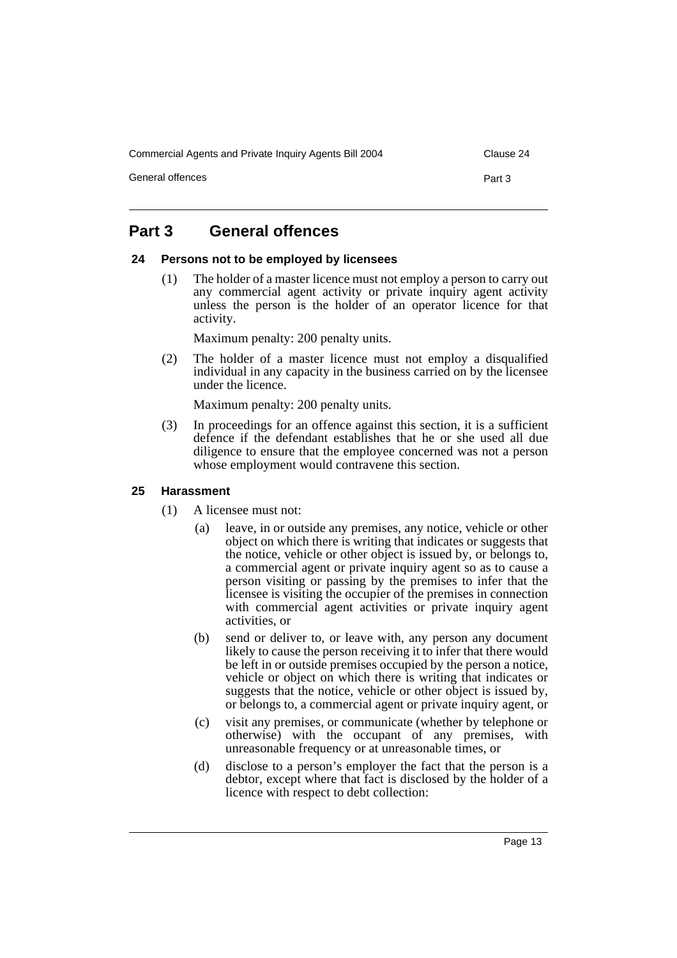Commercial Agents and Private Inquiry Agents Bill 2004 Clause 24

General offences **Part 3** 

### **Part 3 General offences**

#### **24 Persons not to be employed by licensees**

(1) The holder of a master licence must not employ a person to carry out any commercial agent activity or private inquiry agent activity unless the person is the holder of an operator licence for that activity.

Maximum penalty: 200 penalty units.

(2) The holder of a master licence must not employ a disqualified individual in any capacity in the business carried on by the licensee under the licence.

Maximum penalty: 200 penalty units.

(3) In proceedings for an offence against this section, it is a sufficient defence if the defendant establishes that he or she used all due diligence to ensure that the employee concerned was not a person whose employment would contravene this section.

#### **25 Harassment**

- (1) A licensee must not:
	- (a) leave, in or outside any premises, any notice, vehicle or other object on which there is writing that indicates or suggests that the notice, vehicle or other object is issued by, or belongs to, a commercial agent or private inquiry agent so as to cause a person visiting or passing by the premises to infer that the licensee is visiting the occupier of the premises in connection with commercial agent activities or private inquiry agent activities, or
	- (b) send or deliver to, or leave with, any person any document likely to cause the person receiving it to infer that there would be left in or outside premises occupied by the person a notice, vehicle or object on which there is writing that indicates or suggests that the notice, vehicle or other object is issued by, or belongs to, a commercial agent or private inquiry agent, or
	- (c) visit any premises, or communicate (whether by telephone or otherwise) with the occupant of any premises, with unreasonable frequency or at unreasonable times, or
	- (d) disclose to a person's employer the fact that the person is a debtor, except where that fact is disclosed by the holder of a licence with respect to debt collection: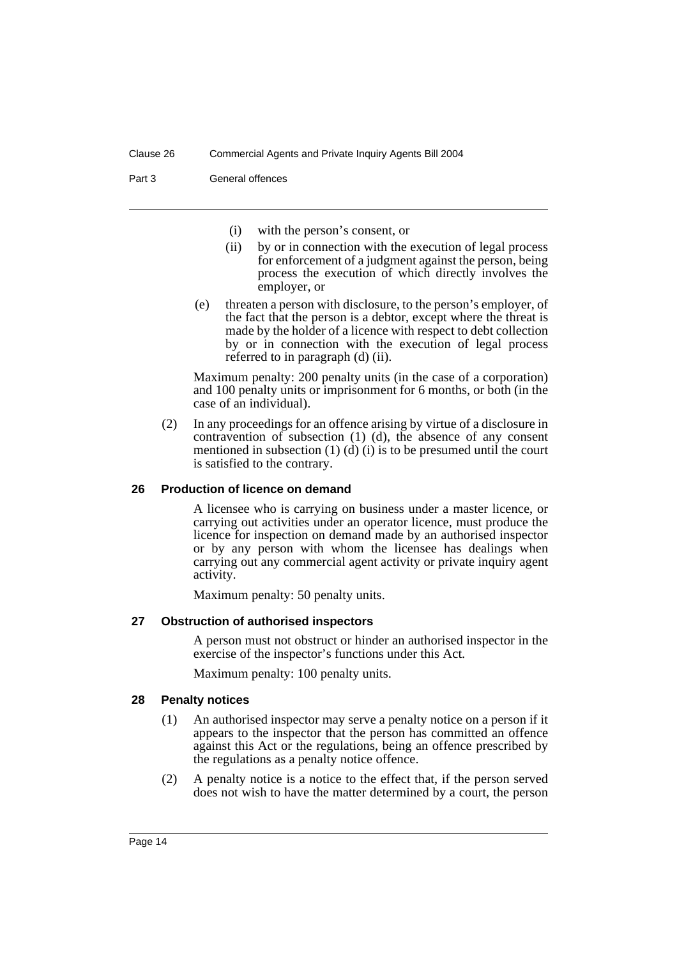#### Part 3 General offences

- (i) with the person's consent, or
- (ii) by or in connection with the execution of legal process for enforcement of a judgment against the person, being process the execution of which directly involves the employer, or
- (e) threaten a person with disclosure, to the person's employer, of the fact that the person is a debtor, except where the threat is made by the holder of a licence with respect to debt collection by or in connection with the execution of legal process referred to in paragraph (d) (ii).

Maximum penalty: 200 penalty units (in the case of a corporation) and 100 penalty units or imprisonment for 6 months, or both (in the case of an individual).

(2) In any proceedings for an offence arising by virtue of a disclosure in contravention of subsection (1) (d), the absence of any consent mentioned in subsection (1) (d) (i) is to be presumed until the court is satisfied to the contrary.

#### **26 Production of licence on demand**

A licensee who is carrying on business under a master licence, or carrying out activities under an operator licence, must produce the licence for inspection on demand made by an authorised inspector or by any person with whom the licensee has dealings when carrying out any commercial agent activity or private inquiry agent activity.

Maximum penalty: 50 penalty units.

#### **27 Obstruction of authorised inspectors**

A person must not obstruct or hinder an authorised inspector in the exercise of the inspector's functions under this Act.

Maximum penalty: 100 penalty units.

#### **28 Penalty notices**

- (1) An authorised inspector may serve a penalty notice on a person if it appears to the inspector that the person has committed an offence against this Act or the regulations, being an offence prescribed by the regulations as a penalty notice offence.
- (2) A penalty notice is a notice to the effect that, if the person served does not wish to have the matter determined by a court, the person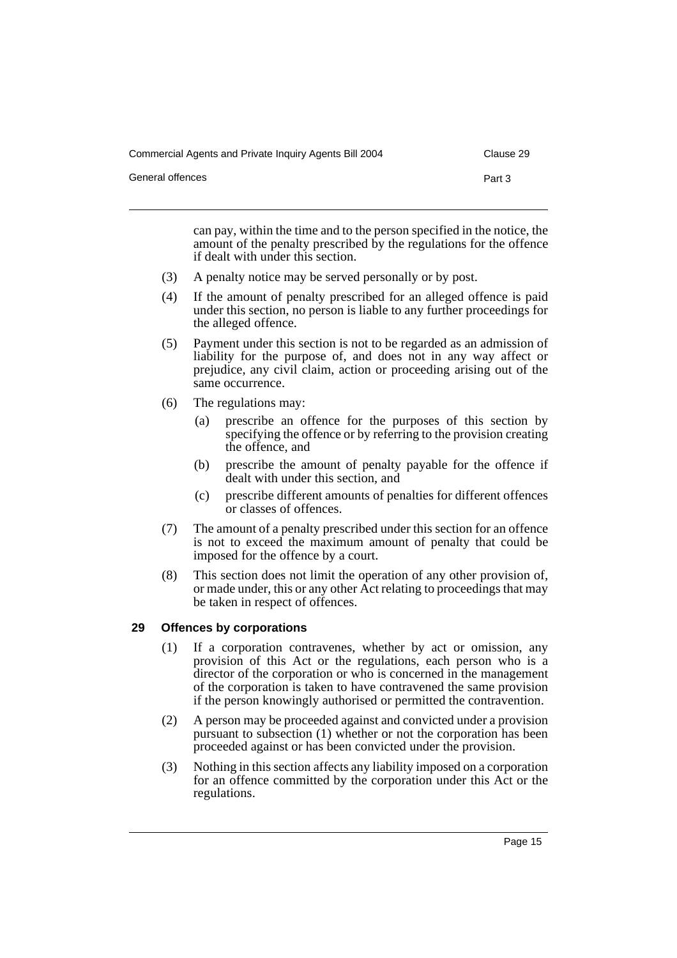| Commercial Agents and Private Inquiry Agents Bill 2004 | Clause 29 |
|--------------------------------------------------------|-----------|
| General offences                                       | Part 3    |

can pay, within the time and to the person specified in the notice, the amount of the penalty prescribed by the regulations for the offence if dealt with under this section.

- (3) A penalty notice may be served personally or by post.
- (4) If the amount of penalty prescribed for an alleged offence is paid under this section, no person is liable to any further proceedings for the alleged offence.
- (5) Payment under this section is not to be regarded as an admission of liability for the purpose of, and does not in any way affect or prejudice, any civil claim, action or proceeding arising out of the same occurrence.
- (6) The regulations may:
	- (a) prescribe an offence for the purposes of this section by specifying the offence or by referring to the provision creating the offence, and
	- (b) prescribe the amount of penalty payable for the offence if dealt with under this section, and
	- (c) prescribe different amounts of penalties for different offences or classes of offences.
- (7) The amount of a penalty prescribed under this section for an offence is not to exceed the maximum amount of penalty that could be imposed for the offence by a court.
- (8) This section does not limit the operation of any other provision of, or made under, this or any other Act relating to proceedings that may be taken in respect of offences.

### **29 Offences by corporations**

- (1) If a corporation contravenes, whether by act or omission, any provision of this Act or the regulations, each person who is a director of the corporation or who is concerned in the management of the corporation is taken to have contravened the same provision if the person knowingly authorised or permitted the contravention.
- (2) A person may be proceeded against and convicted under a provision pursuant to subsection (1) whether or not the corporation has been proceeded against or has been convicted under the provision.
- (3) Nothing in this section affects any liability imposed on a corporation for an offence committed by the corporation under this Act or the regulations.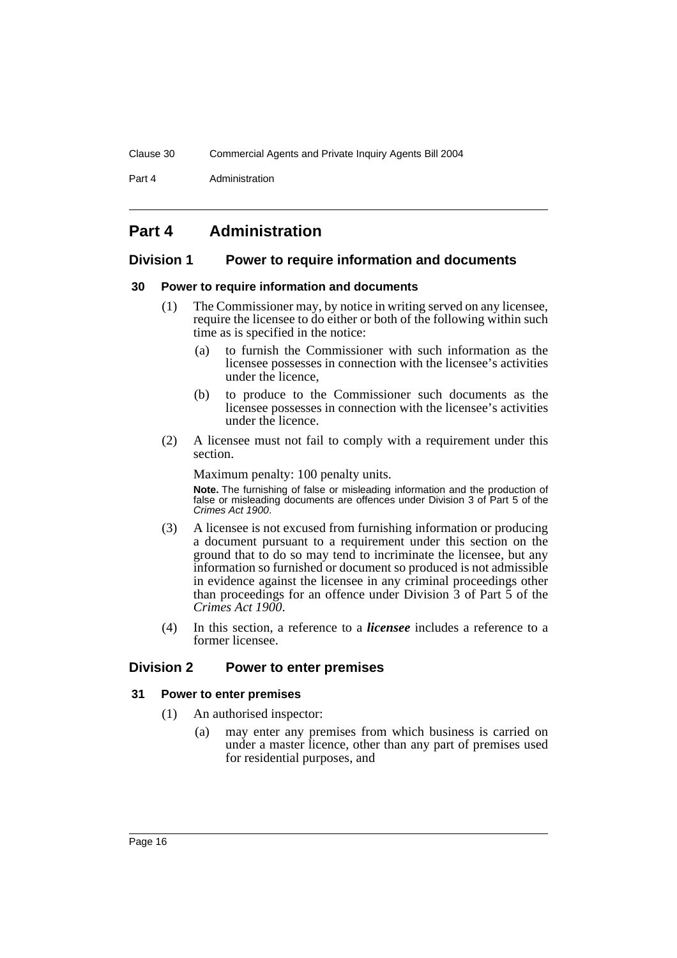Part 4 **Administration** 

### **Part 4 Administration**

### **Division 1 Power to require information and documents**

#### **30 Power to require information and documents**

- (1) The Commissioner may, by notice in writing served on any licensee, require the licensee to do either or both of the following within such time as is specified in the notice:
	- (a) to furnish the Commissioner with such information as the licensee possesses in connection with the licensee's activities under the licence,
	- (b) to produce to the Commissioner such documents as the licensee possesses in connection with the licensee's activities under the licence.
- (2) A licensee must not fail to comply with a requirement under this section.

Maximum penalty: 100 penalty units.

**Note.** The furnishing of false or misleading information and the production of false or misleading documents are offences under Division 3 of Part 5 of the *Crimes Act 1900*.

- (3) A licensee is not excused from furnishing information or producing a document pursuant to a requirement under this section on the ground that to do so may tend to incriminate the licensee, but any information so furnished or document so produced is not admissible in evidence against the licensee in any criminal proceedings other than proceedings for an offence under Division 3 of Part 5 of the *Crimes Act 1900*.
- (4) In this section, a reference to a *licensee* includes a reference to a former licensee.

### **Division 2 Power to enter premises**

#### **31 Power to enter premises**

- (1) An authorised inspector:
	- (a) may enter any premises from which business is carried on under a master licence, other than any part of premises used for residential purposes, and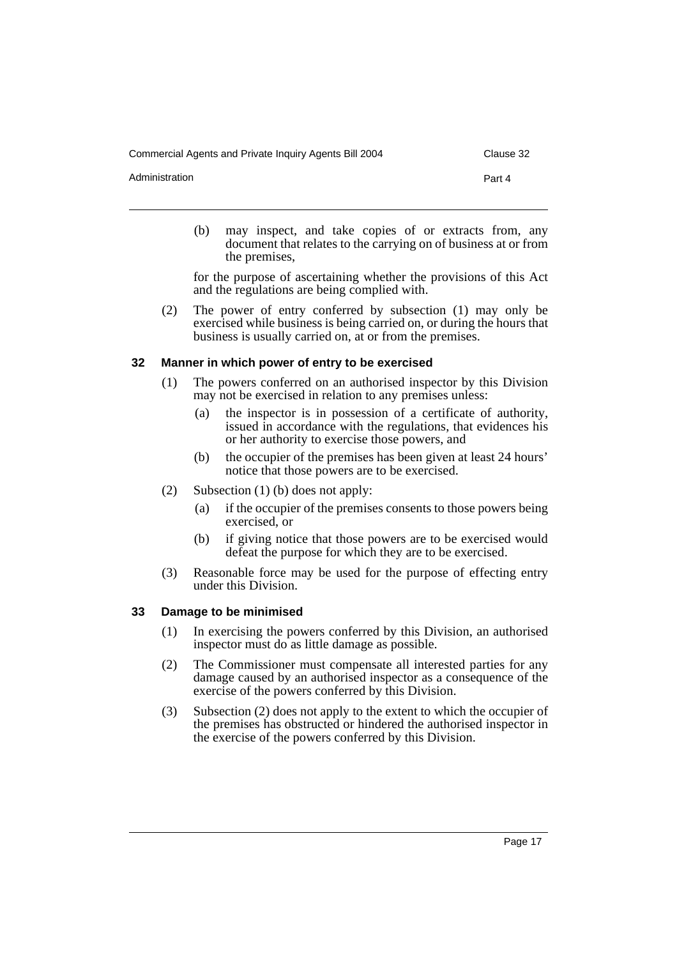Commercial Agents and Private Inquiry Agents Bill 2004 Clause 32

Administration **Part 4** 

(b) may inspect, and take copies of or extracts from, any document that relates to the carrying on of business at or from the premises,

for the purpose of ascertaining whether the provisions of this Act and the regulations are being complied with.

(2) The power of entry conferred by subsection (1) may only be exercised while business is being carried on, or during the hours that business is usually carried on, at or from the premises.

#### **32 Manner in which power of entry to be exercised**

- (1) The powers conferred on an authorised inspector by this Division may not be exercised in relation to any premises unless:
	- (a) the inspector is in possession of a certificate of authority, issued in accordance with the regulations, that evidences his or her authority to exercise those powers, and
	- (b) the occupier of the premises has been given at least 24 hours' notice that those powers are to be exercised.
- (2) Subsection (1) (b) does not apply:
	- (a) if the occupier of the premises consents to those powers being exercised, or
	- (b) if giving notice that those powers are to be exercised would defeat the purpose for which they are to be exercised.
- (3) Reasonable force may be used for the purpose of effecting entry under this Division.

#### **33 Damage to be minimised**

- (1) In exercising the powers conferred by this Division, an authorised inspector must do as little damage as possible.
- (2) The Commissioner must compensate all interested parties for any damage caused by an authorised inspector as a consequence of the exercise of the powers conferred by this Division.
- (3) Subsection (2) does not apply to the extent to which the occupier of the premises has obstructed or hindered the authorised inspector in the exercise of the powers conferred by this Division.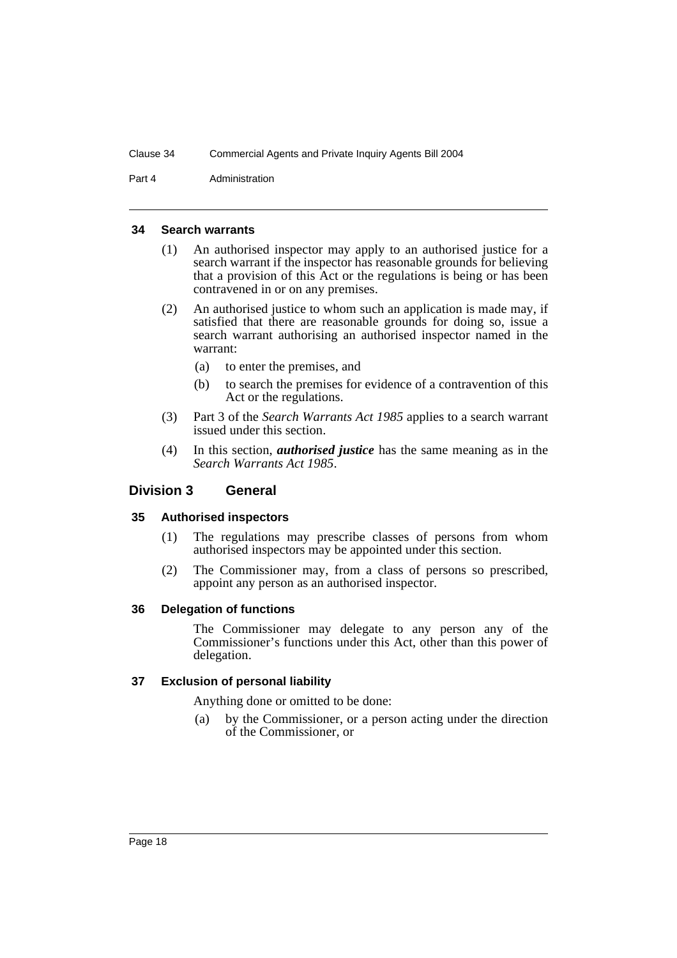Part 4 **Administration** 

#### **34 Search warrants**

- (1) An authorised inspector may apply to an authorised justice for a search warrant if the inspector has reasonable grounds for believing that a provision of this Act or the regulations is being or has been contravened in or on any premises.
- (2) An authorised justice to whom such an application is made may, if satisfied that there are reasonable grounds for doing so, issue a search warrant authorising an authorised inspector named in the warrant:
	- (a) to enter the premises, and
	- (b) to search the premises for evidence of a contravention of this Act or the regulations.
- (3) Part 3 of the *Search Warrants Act 1985* applies to a search warrant issued under this section.
- (4) In this section, *authorised justice* has the same meaning as in the *Search Warrants Act 1985*.

#### **Division 3 General**

#### **35 Authorised inspectors**

- (1) The regulations may prescribe classes of persons from whom authorised inspectors may be appointed under this section.
- (2) The Commissioner may, from a class of persons so prescribed, appoint any person as an authorised inspector.

#### **36 Delegation of functions**

The Commissioner may delegate to any person any of the Commissioner's functions under this Act, other than this power of delegation.

#### **37 Exclusion of personal liability**

Anything done or omitted to be done:

(a) by the Commissioner, or a person acting under the direction of the Commissioner, or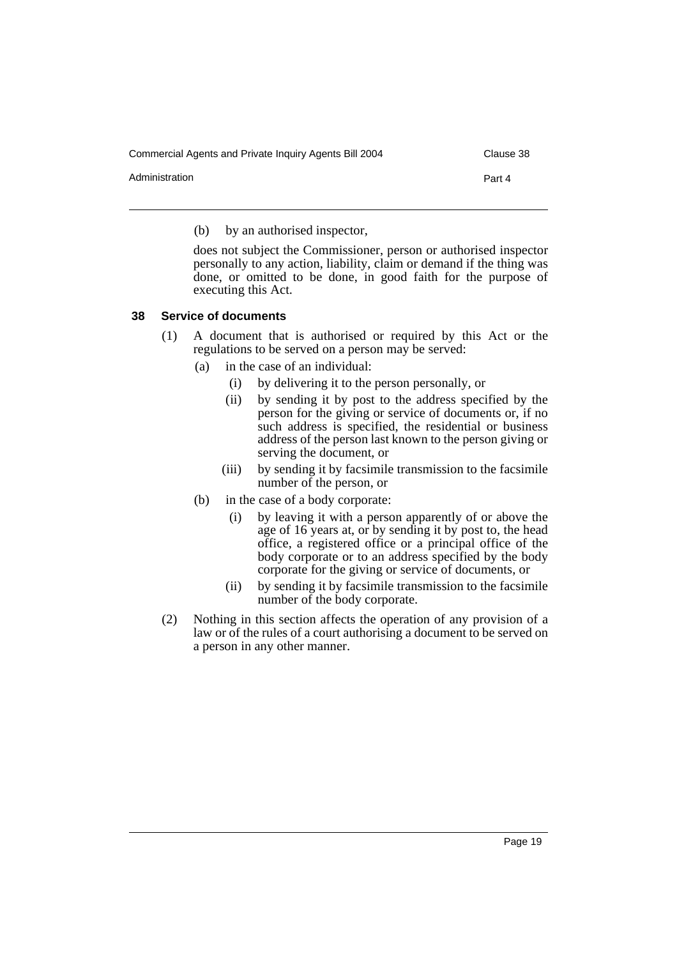Commercial Agents and Private Inquiry Agents Bill 2004 Clause 38

Administration **Part 4** 

(b) by an authorised inspector,

does not subject the Commissioner, person or authorised inspector personally to any action, liability, claim or demand if the thing was done, or omitted to be done, in good faith for the purpose of executing this Act.

#### **38 Service of documents**

- (1) A document that is authorised or required by this Act or the regulations to be served on a person may be served:
	- (a) in the case of an individual:
		- (i) by delivering it to the person personally, or
		- (ii) by sending it by post to the address specified by the person for the giving or service of documents or, if no such address is specified, the residential or business address of the person last known to the person giving or serving the document, or
		- (iii) by sending it by facsimile transmission to the facsimile number of the person, or
	- (b) in the case of a body corporate:
		- (i) by leaving it with a person apparently of or above the age of 16 years at, or by sending it by post to, the head office, a registered office or a principal office of the body corporate or to an address specified by the body corporate for the giving or service of documents, or
		- (ii) by sending it by facsimile transmission to the facsimile number of the body corporate.
- (2) Nothing in this section affects the operation of any provision of a law or of the rules of a court authorising a document to be served on a person in any other manner.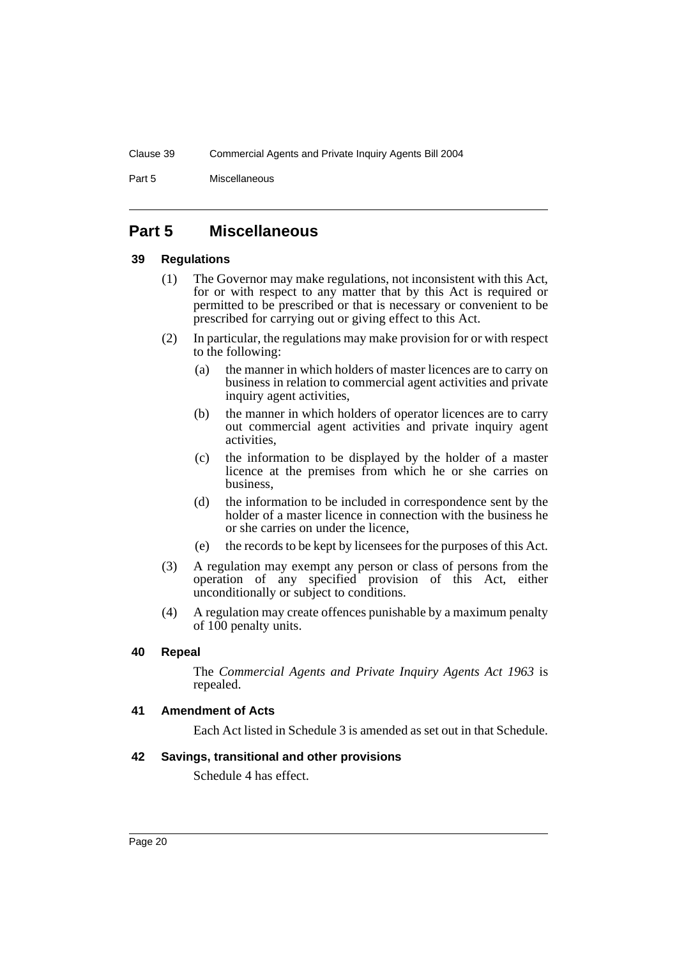Part 5 Miscellaneous

### **Part 5 Miscellaneous**

#### **39 Regulations**

- (1) The Governor may make regulations, not inconsistent with this Act, for or with respect to any matter that by this Act is required or permitted to be prescribed or that is necessary or convenient to be prescribed for carrying out or giving effect to this Act.
- (2) In particular, the regulations may make provision for or with respect to the following:
	- (a) the manner in which holders of master licences are to carry on business in relation to commercial agent activities and private inquiry agent activities,
	- (b) the manner in which holders of operator licences are to carry out commercial agent activities and private inquiry agent activities,
	- (c) the information to be displayed by the holder of a master licence at the premises from which he or she carries on business,
	- (d) the information to be included in correspondence sent by the holder of a master licence in connection with the business he or she carries on under the licence,
	- (e) the records to be kept by licensees for the purposes of this Act.
- (3) A regulation may exempt any person or class of persons from the operation of any specified provision of this Act, either unconditionally or subject to conditions.
- (4) A regulation may create offences punishable by a maximum penalty of 100 penalty units.

### **40 Repeal**

The *Commercial Agents and Private Inquiry Agents Act 1963* is repealed.

#### **41 Amendment of Acts**

Each Act listed in Schedule 3 is amended as set out in that Schedule.

### **42 Savings, transitional and other provisions**

Schedule 4 has effect.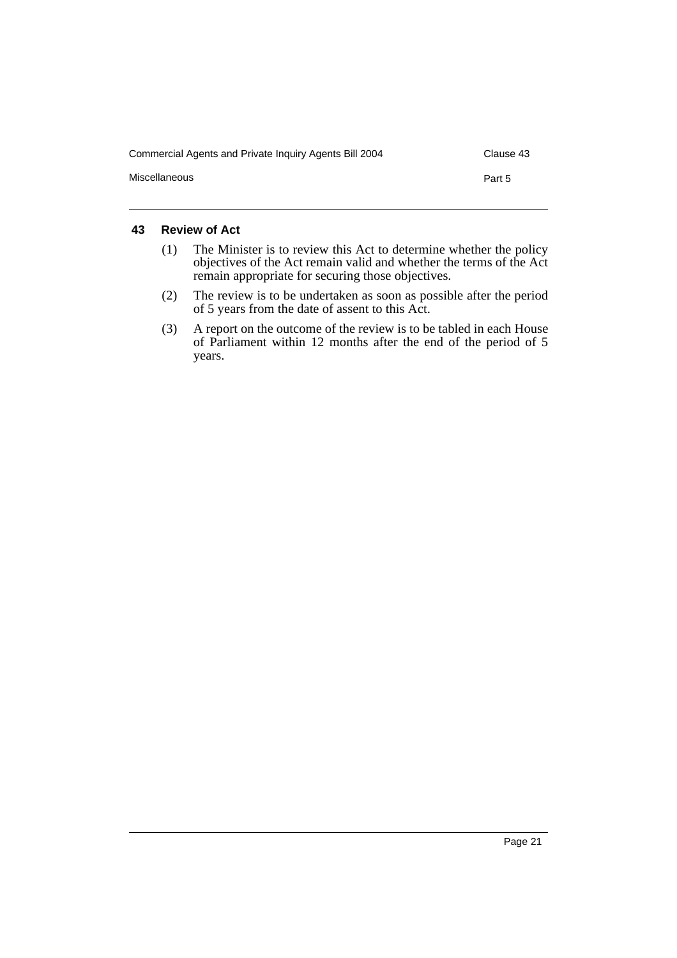| Commercial Agents and Private Inquiry Agents Bill 2004 | Clause 43 |
|--------------------------------------------------------|-----------|
| Miscellaneous                                          | Part 5    |

### **43 Review of Act**

- (1) The Minister is to review this Act to determine whether the policy objectives of the Act remain valid and whether the terms of the Act remain appropriate for securing those objectives.
- (2) The review is to be undertaken as soon as possible after the period of 5 years from the date of assent to this Act.
- (3) A report on the outcome of the review is to be tabled in each House of Parliament within 12 months after the end of the period of 5 years.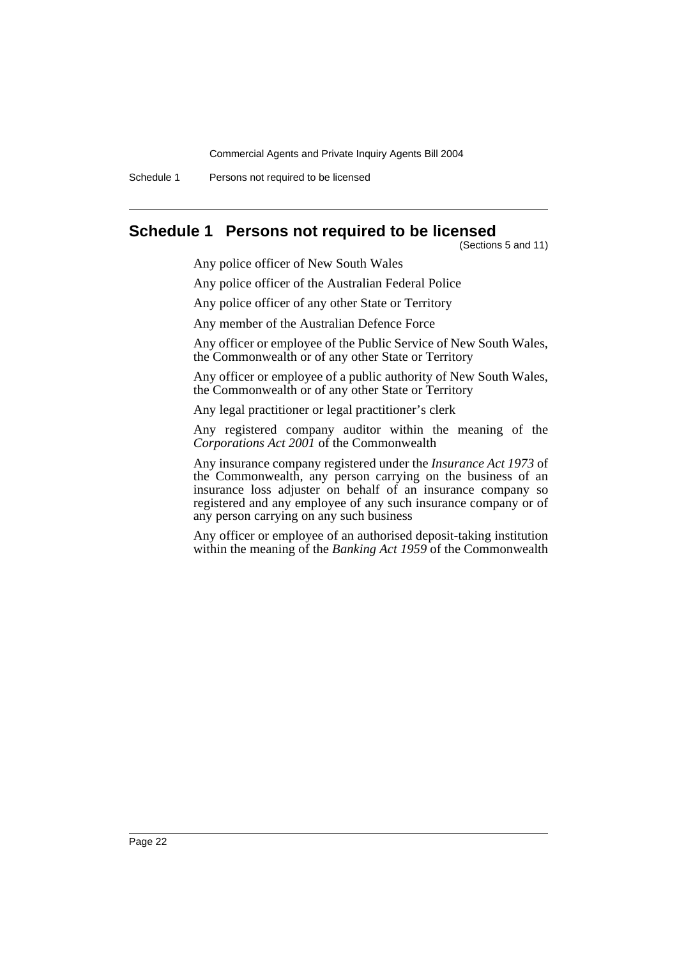Schedule 1 Persons not required to be licensed

### **Schedule 1 Persons not required to be licensed**

(Sections 5 and 11)

Any police officer of New South Wales

Any police officer of the Australian Federal Police

Any police officer of any other State or Territory

Any member of the Australian Defence Force

Any officer or employee of the Public Service of New South Wales, the Commonwealth or of any other State or Territory

Any officer or employee of a public authority of New South Wales, the Commonwealth or of any other State or Territory

Any legal practitioner or legal practitioner's clerk

Any registered company auditor within the meaning of the *Corporations Act 2001* of the Commonwealth

Any insurance company registered under the *Insurance Act 1973* of the Commonwealth, any person carrying on the business of an insurance loss adjuster on behalf of an insurance company so registered and any employee of any such insurance company or of any person carrying on any such business

Any officer or employee of an authorised deposit-taking institution within the meaning of the *Banking Act 1959* of the Commonwealth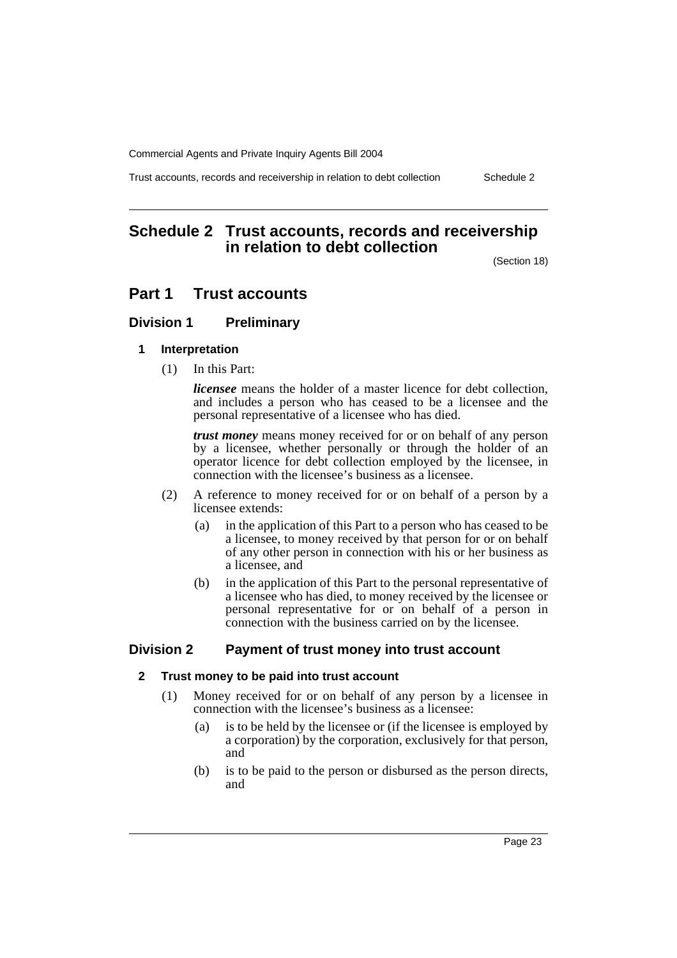Trust accounts, records and receivership in relation to debt collection Schedule 2

## **Schedule 2 Trust accounts, records and receivership in relation to debt collection**

(Section 18)

### **Part 1 Trust accounts**

### **Division 1 Preliminary**

#### **1 Interpretation**

(1) In this Part:

*licensee* means the holder of a master licence for debt collection, and includes a person who has ceased to be a licensee and the personal representative of a licensee who has died.

*trust money* means money received for or on behalf of any person by a licensee, whether personally or through the holder of an operator licence for debt collection employed by the licensee, in connection with the licensee's business as a licensee.

- (2) A reference to money received for or on behalf of a person by a licensee extends:
	- (a) in the application of this Part to a person who has ceased to be a licensee, to money received by that person for or on behalf of any other person in connection with his or her business as a licensee, and
	- (b) in the application of this Part to the personal representative of a licensee who has died, to money received by the licensee or personal representative for or on behalf of a person in connection with the business carried on by the licensee.

### **Division 2 Payment of trust money into trust account**

### **2 Trust money to be paid into trust account**

- (1) Money received for or on behalf of any person by a licensee in connection with the licensee's business as a licensee:
	- (a) is to be held by the licensee or (if the licensee is employed by a corporation) by the corporation, exclusively for that person, and
	- (b) is to be paid to the person or disbursed as the person directs, and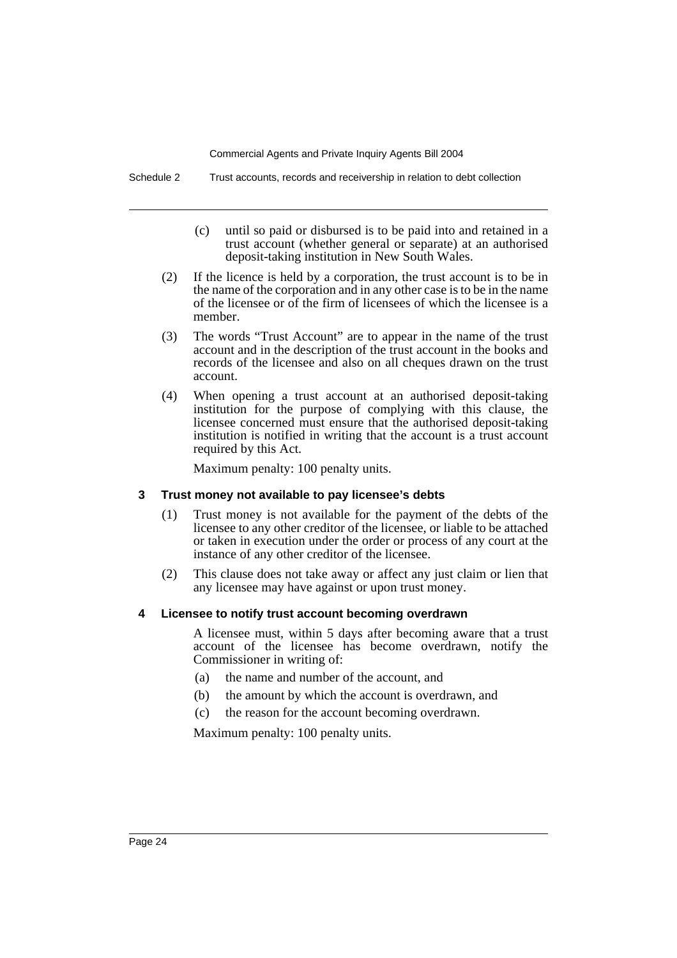Schedule 2 Trust accounts, records and receivership in relation to debt collection

- (c) until so paid or disbursed is to be paid into and retained in a trust account (whether general or separate) at an authorised deposit-taking institution in New South Wales.
- (2) If the licence is held by a corporation, the trust account is to be in the name of the corporation and in any other case is to be in the name of the licensee or of the firm of licensees of which the licensee is a member.
- (3) The words "Trust Account" are to appear in the name of the trust account and in the description of the trust account in the books and records of the licensee and also on all cheques drawn on the trust account.
- (4) When opening a trust account at an authorised deposit-taking institution for the purpose of complying with this clause, the licensee concerned must ensure that the authorised deposit-taking institution is notified in writing that the account is a trust account required by this Act.

Maximum penalty: 100 penalty units.

### **3 Trust money not available to pay licensee's debts**

- (1) Trust money is not available for the payment of the debts of the licensee to any other creditor of the licensee, or liable to be attached or taken in execution under the order or process of any court at the instance of any other creditor of the licensee.
- (2) This clause does not take away or affect any just claim or lien that any licensee may have against or upon trust money.

### **4 Licensee to notify trust account becoming overdrawn**

A licensee must, within 5 days after becoming aware that a trust account of the licensee has become overdrawn, notify the Commissioner in writing of:

- (a) the name and number of the account, and
- (b) the amount by which the account is overdrawn, and
- (c) the reason for the account becoming overdrawn.

Maximum penalty: 100 penalty units.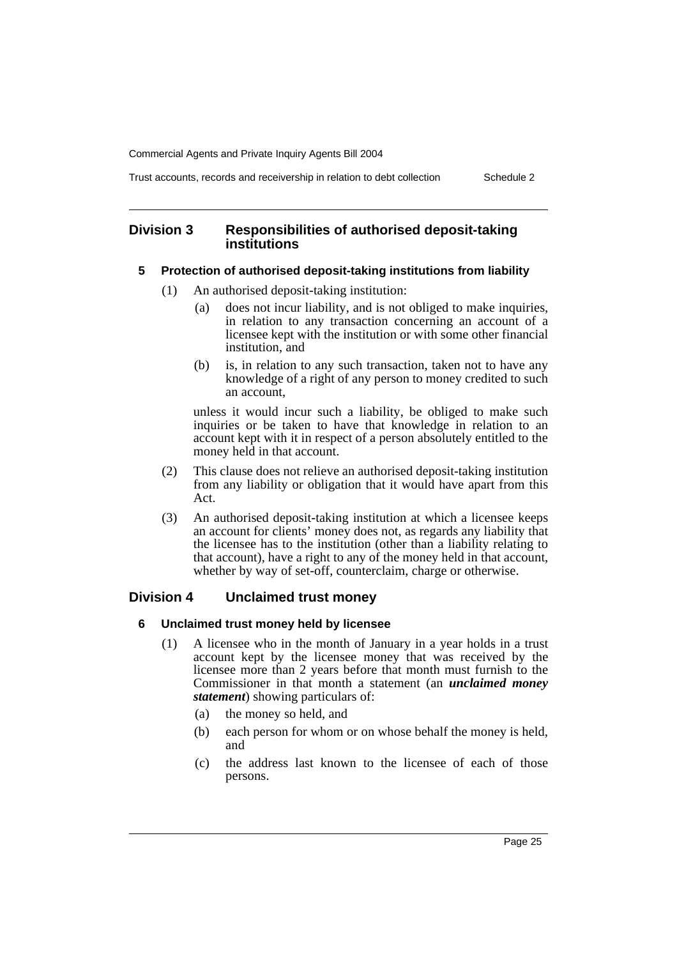Trust accounts, records and receivership in relation to debt collection Schedule 2

#### **Division 3 Responsibilities of authorised deposit-taking institutions**

#### **5 Protection of authorised deposit-taking institutions from liability**

- (1) An authorised deposit-taking institution:
	- (a) does not incur liability, and is not obliged to make inquiries, in relation to any transaction concerning an account of a licensee kept with the institution or with some other financial institution, and
	- (b) is, in relation to any such transaction, taken not to have any knowledge of a right of any person to money credited to such an account,

unless it would incur such a liability, be obliged to make such inquiries or be taken to have that knowledge in relation to an account kept with it in respect of a person absolutely entitled to the money held in that account.

- (2) This clause does not relieve an authorised deposit-taking institution from any liability or obligation that it would have apart from this Act.
- (3) An authorised deposit-taking institution at which a licensee keeps an account for clients' money does not, as regards any liability that the licensee has to the institution (other than a liability relating to that account), have a right to any of the money held in that account, whether by way of set-off, counterclaim, charge or otherwise.

### **Division 4 Unclaimed trust money**

#### **6 Unclaimed trust money held by licensee**

- (1) A licensee who in the month of January in a year holds in a trust account kept by the licensee money that was received by the licensee more than 2 years before that month must furnish to the Commissioner in that month a statement (an *unclaimed money statement*) showing particulars of:
	- (a) the money so held, and
	- (b) each person for whom or on whose behalf the money is held, and
	- (c) the address last known to the licensee of each of those persons.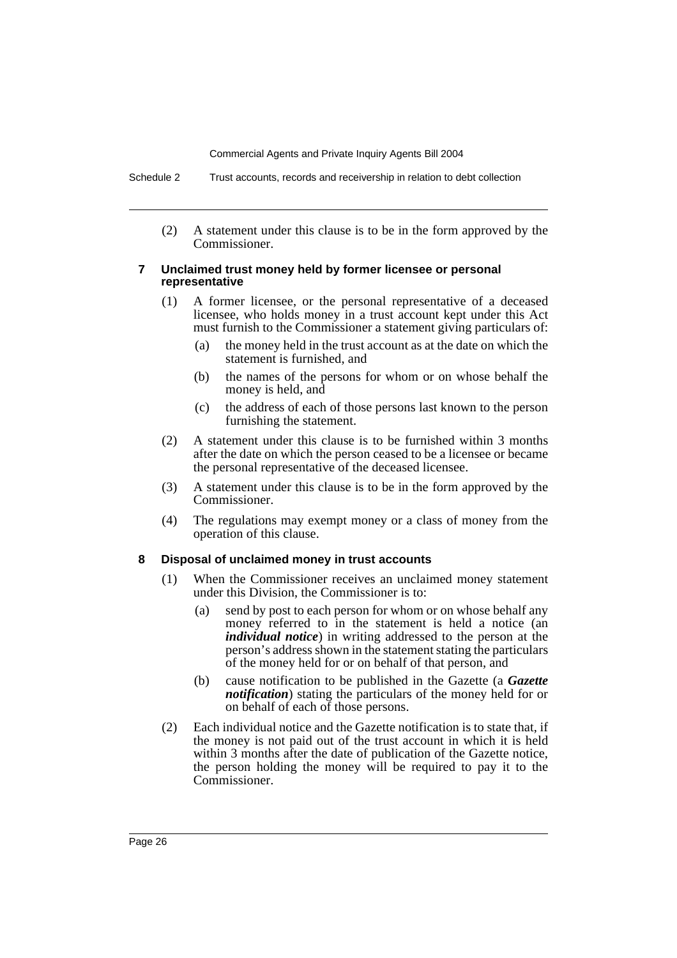Schedule 2 Trust accounts, records and receivership in relation to debt collection

(2) A statement under this clause is to be in the form approved by the Commissioner.

#### **7 Unclaimed trust money held by former licensee or personal representative**

- (1) A former licensee, or the personal representative of a deceased licensee, who holds money in a trust account kept under this Act must furnish to the Commissioner a statement giving particulars of:
	- (a) the money held in the trust account as at the date on which the statement is furnished, and
	- (b) the names of the persons for whom or on whose behalf the money is held, and
	- (c) the address of each of those persons last known to the person furnishing the statement.
- (2) A statement under this clause is to be furnished within 3 months after the date on which the person ceased to be a licensee or became the personal representative of the deceased licensee.
- (3) A statement under this clause is to be in the form approved by the Commissioner.
- (4) The regulations may exempt money or a class of money from the operation of this clause.

#### **8 Disposal of unclaimed money in trust accounts**

- (1) When the Commissioner receives an unclaimed money statement under this Division, the Commissioner is to:
	- (a) send by post to each person for whom or on whose behalf any money referred to in the statement is held a notice (an *individual notice*) in writing addressed to the person at the person's address shown in the statement stating the particulars of the money held for or on behalf of that person, and
	- (b) cause notification to be published in the Gazette (a *Gazette notification*) stating the particulars of the money held for or on behalf of each of those persons.
- (2) Each individual notice and the Gazette notification is to state that, if the money is not paid out of the trust account in which it is held within 3 months after the date of publication of the Gazette notice, the person holding the money will be required to pay it to the Commissioner.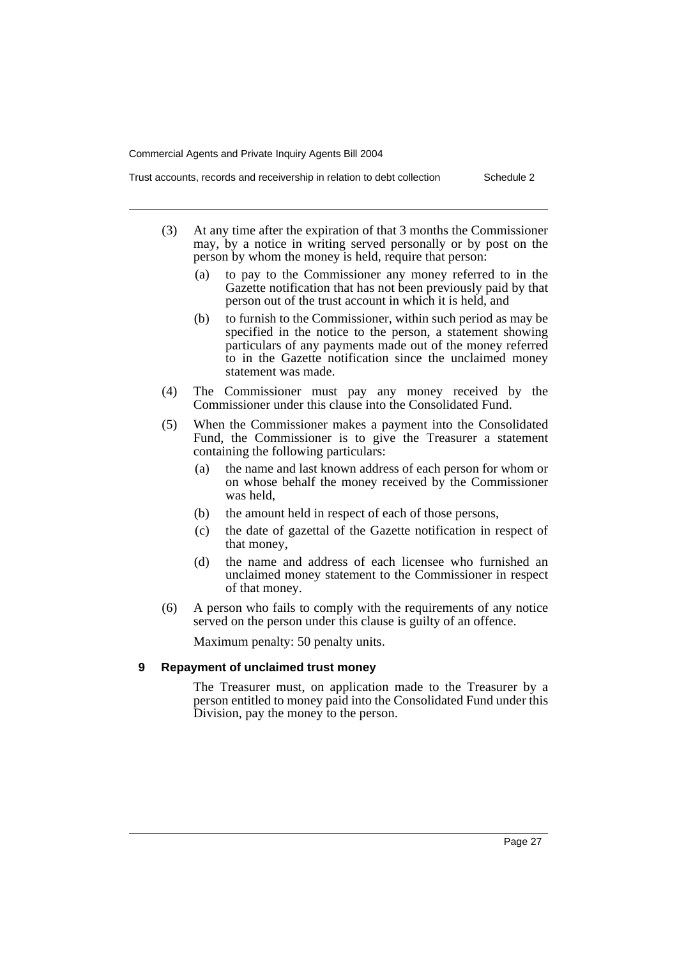Trust accounts, records and receivership in relation to debt collection Schedule 2

- (3) At any time after the expiration of that 3 months the Commissioner may, by a notice in writing served personally or by post on the person by whom the money is held, require that person:
	- (a) to pay to the Commissioner any money referred to in the Gazette notification that has not been previously paid by that person out of the trust account in which it is held, and
	- (b) to furnish to the Commissioner, within such period as may be specified in the notice to the person, a statement showing particulars of any payments made out of the money referred to in the Gazette notification since the unclaimed money statement was made.
- (4) The Commissioner must pay any money received by the Commissioner under this clause into the Consolidated Fund.
- (5) When the Commissioner makes a payment into the Consolidated Fund, the Commissioner is to give the Treasurer a statement containing the following particulars:
	- (a) the name and last known address of each person for whom or on whose behalf the money received by the Commissioner was held,
	- (b) the amount held in respect of each of those persons,
	- (c) the date of gazettal of the Gazette notification in respect of that money,
	- (d) the name and address of each licensee who furnished an unclaimed money statement to the Commissioner in respect of that money.
- (6) A person who fails to comply with the requirements of any notice served on the person under this clause is guilty of an offence.

Maximum penalty: 50 penalty units.

#### **9 Repayment of unclaimed trust money**

The Treasurer must, on application made to the Treasurer by a person entitled to money paid into the Consolidated Fund under this Division, pay the money to the person.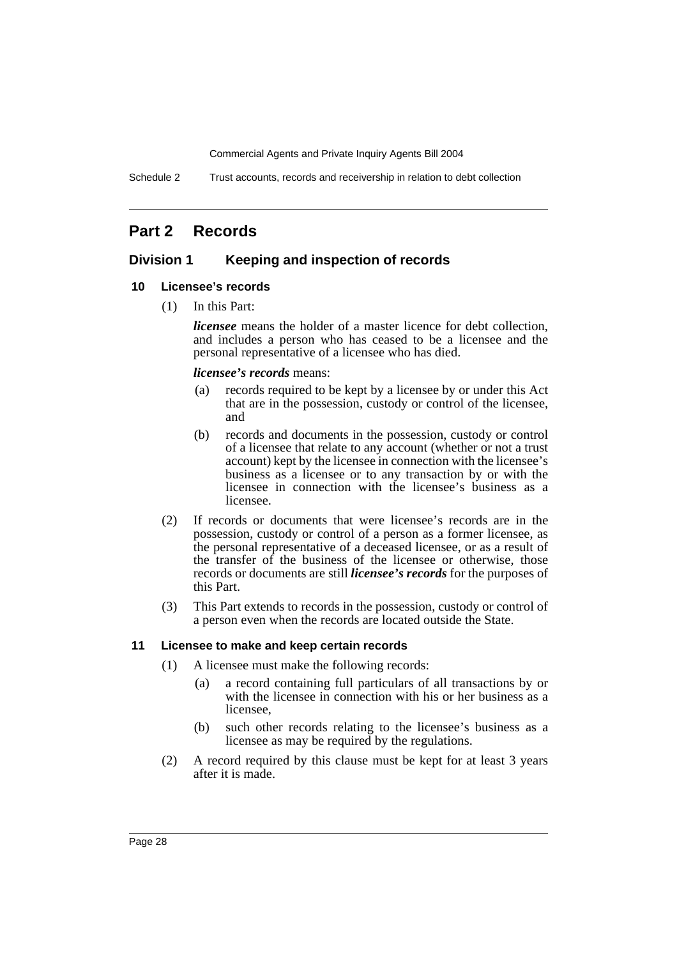Schedule 2 Trust accounts, records and receivership in relation to debt collection

## **Part 2 Records**

### **Division 1 Keeping and inspection of records**

#### **10 Licensee's records**

(1) In this Part:

*licensee* means the holder of a master licence for debt collection, and includes a person who has ceased to be a licensee and the personal representative of a licensee who has died.

#### *licensee's records* means:

- (a) records required to be kept by a licensee by or under this Act that are in the possession, custody or control of the licensee, and
- (b) records and documents in the possession, custody or control of a licensee that relate to any account (whether or not a trust account) kept by the licensee in connection with the licensee's business as a licensee or to any transaction by or with the licensee in connection with the licensee's business as a licensee.
- (2) If records or documents that were licensee's records are in the possession, custody or control of a person as a former licensee, as the personal representative of a deceased licensee, or as a result of the transfer of the business of the licensee or otherwise, those records or documents are still *licensee's records* for the purposes of this Part.
- (3) This Part extends to records in the possession, custody or control of a person even when the records are located outside the State.

#### **11 Licensee to make and keep certain records**

- (1) A licensee must make the following records:
	- (a) a record containing full particulars of all transactions by or with the licensee in connection with his or her business as a licensee,
	- (b) such other records relating to the licensee's business as a licensee as may be required by the regulations.
- (2) A record required by this clause must be kept for at least 3 years after it is made.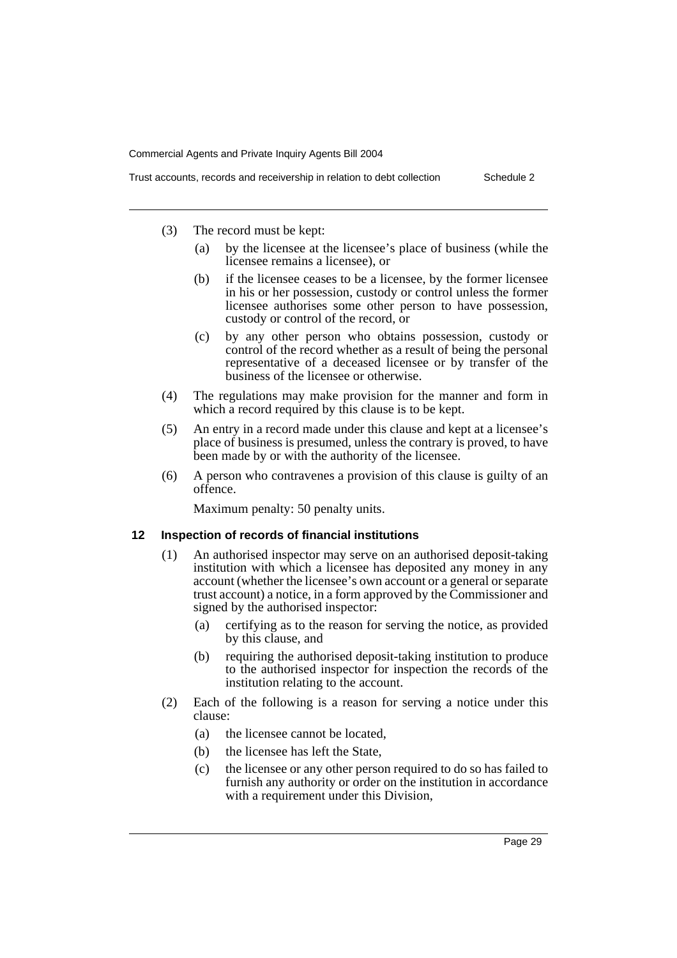- - (3) The record must be kept:
		- (a) by the licensee at the licensee's place of business (while the licensee remains a licensee), or
		- (b) if the licensee ceases to be a licensee, by the former licensee in his or her possession, custody or control unless the former licensee authorises some other person to have possession, custody or control of the record, or
		- (c) by any other person who obtains possession, custody or control of the record whether as a result of being the personal representative of a deceased licensee or by transfer of the business of the licensee or otherwise.
	- (4) The regulations may make provision for the manner and form in which a record required by this clause is to be kept.
	- (5) An entry in a record made under this clause and kept at a licensee's place of business is presumed, unless the contrary is proved, to have been made by or with the authority of the licensee.
	- (6) A person who contravenes a provision of this clause is guilty of an offence.

Maximum penalty: 50 penalty units.

#### **12 Inspection of records of financial institutions**

- (1) An authorised inspector may serve on an authorised deposit-taking institution with which a licensee has deposited any money in any account (whether the licensee's own account or a general or separate trust account) a notice, in a form approved by the Commissioner and signed by the authorised inspector:
	- (a) certifying as to the reason for serving the notice, as provided by this clause, and
	- (b) requiring the authorised deposit-taking institution to produce to the authorised inspector for inspection the records of the institution relating to the account.
- (2) Each of the following is a reason for serving a notice under this clause:
	- (a) the licensee cannot be located,
	- (b) the licensee has left the State,
	- (c) the licensee or any other person required to do so has failed to furnish any authority or order on the institution in accordance with a requirement under this Division,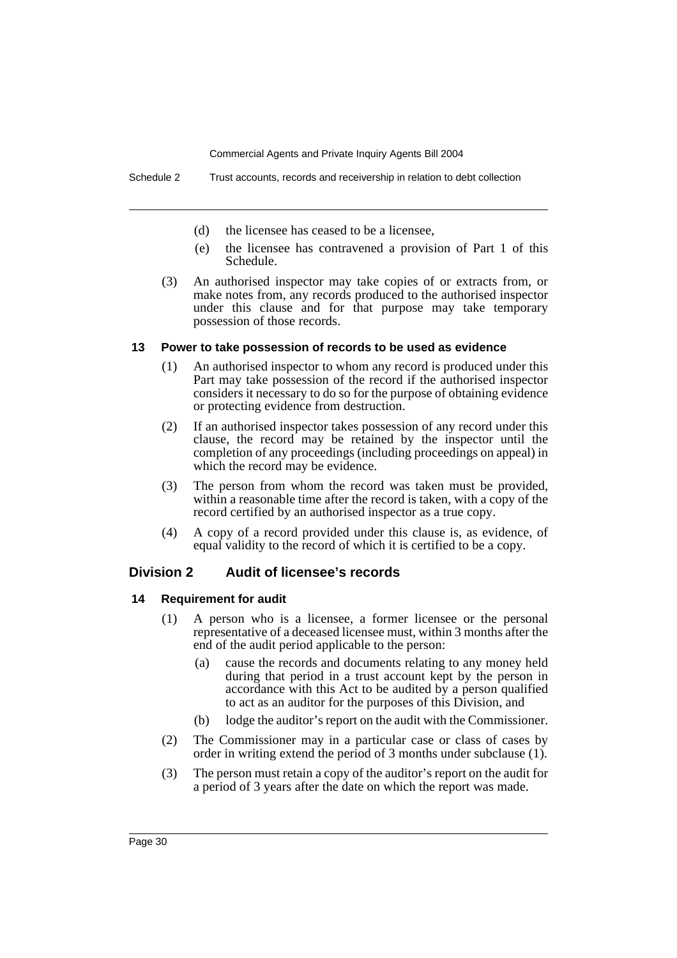- (d) the licensee has ceased to be a licensee,
- (e) the licensee has contravened a provision of Part 1 of this Schedule.
- (3) An authorised inspector may take copies of or extracts from, or make notes from, any records produced to the authorised inspector under this clause and for that purpose may take temporary possession of those records.

#### **13 Power to take possession of records to be used as evidence**

- (1) An authorised inspector to whom any record is produced under this Part may take possession of the record if the authorised inspector considers it necessary to do so for the purpose of obtaining evidence or protecting evidence from destruction.
- (2) If an authorised inspector takes possession of any record under this clause, the record may be retained by the inspector until the completion of any proceedings (including proceedings on appeal) in which the record may be evidence.
- (3) The person from whom the record was taken must be provided, within a reasonable time after the record is taken, with a copy of the record certified by an authorised inspector as a true copy.
- (4) A copy of a record provided under this clause is, as evidence, of equal validity to the record of which it is certified to be a copy.

### **Division 2 Audit of licensee's records**

#### **14 Requirement for audit**

- (1) A person who is a licensee, a former licensee or the personal representative of a deceased licensee must, within 3 months after the end of the audit period applicable to the person:
	- (a) cause the records and documents relating to any money held during that period in a trust account kept by the person in accordance with this Act to be audited by a person qualified to act as an auditor for the purposes of this Division, and
	- (b) lodge the auditor's report on the audit with the Commissioner.
- (2) The Commissioner may in a particular case or class of cases by order in writing extend the period of 3 months under subclause (1).
- (3) The person must retain a copy of the auditor's report on the audit for a period of 3 years after the date on which the report was made.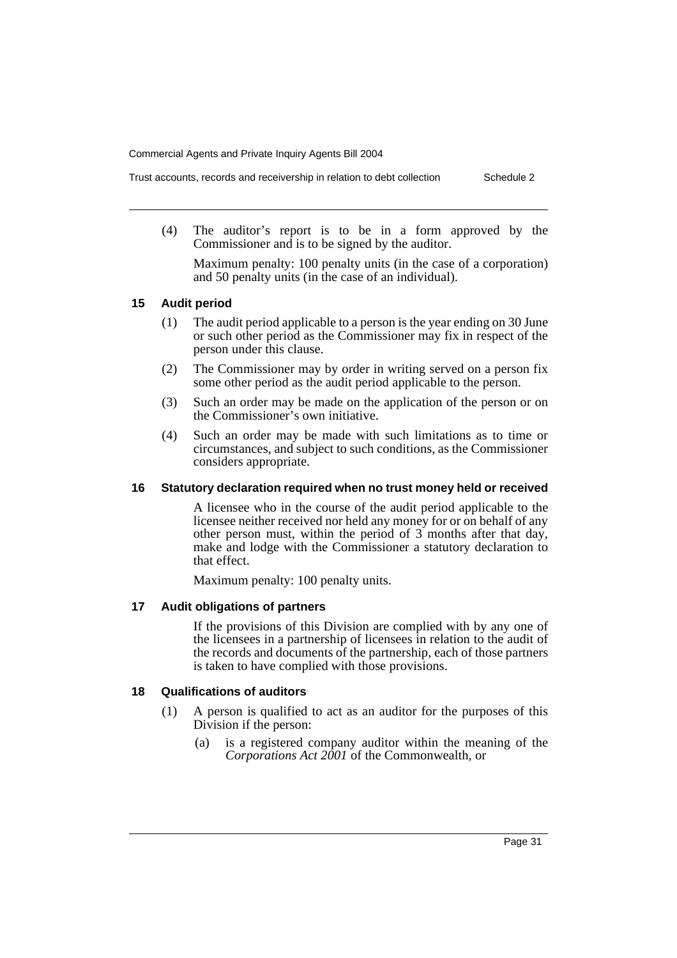- Trust accounts, records and receivership in relation to debt collection Schedule 2
	- (4) The auditor's report is to be in a form approved by the Commissioner and is to be signed by the auditor.

Maximum penalty: 100 penalty units (in the case of a corporation) and 50 penalty units (in the case of an individual).

#### **15 Audit period**

- (1) The audit period applicable to a person is the year ending on 30 June or such other period as the Commissioner may fix in respect of the person under this clause.
- (2) The Commissioner may by order in writing served on a person fix some other period as the audit period applicable to the person.
- (3) Such an order may be made on the application of the person or on the Commissioner's own initiative.
- (4) Such an order may be made with such limitations as to time or circumstances, and subject to such conditions, as the Commissioner considers appropriate.

### **16 Statutory declaration required when no trust money held or received**

A licensee who in the course of the audit period applicable to the licensee neither received nor held any money for or on behalf of any other person must, within the period of 3 months after that day, make and lodge with the Commissioner a statutory declaration to that effect.

Maximum penalty: 100 penalty units.

### **17 Audit obligations of partners**

If the provisions of this Division are complied with by any one of the licensees in a partnership of licensees in relation to the audit of the records and documents of the partnership, each of those partners is taken to have complied with those provisions.

#### **18 Qualifications of auditors**

- (1) A person is qualified to act as an auditor for the purposes of this Division if the person:
	- (a) is a registered company auditor within the meaning of the *Corporations Act 2001* of the Commonwealth, or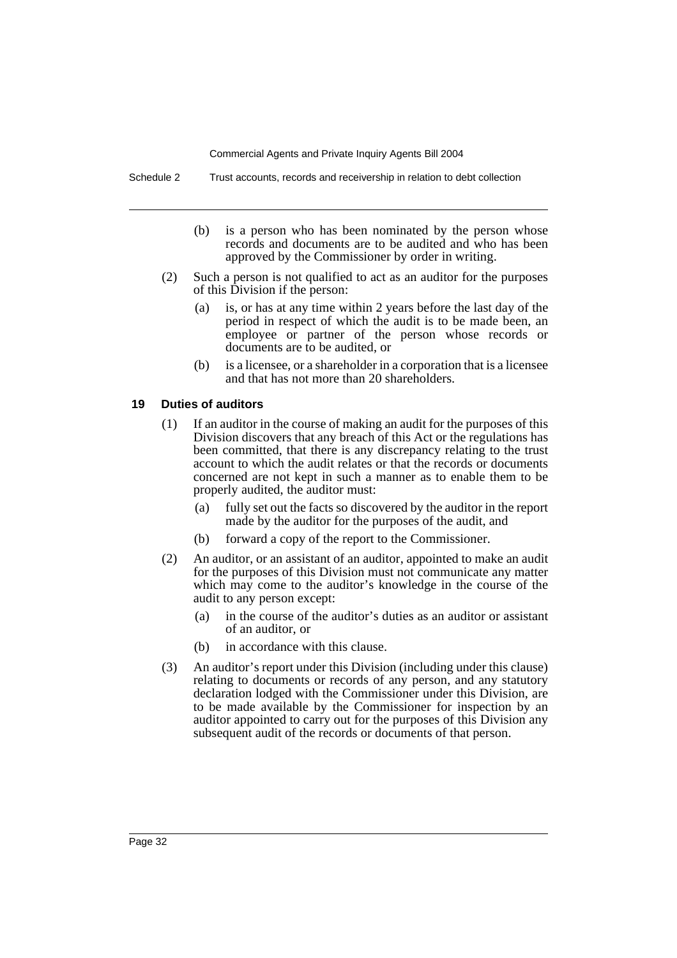Schedule 2 Trust accounts, records and receivership in relation to debt collection

- (b) is a person who has been nominated by the person whose records and documents are to be audited and who has been approved by the Commissioner by order in writing.
- (2) Such a person is not qualified to act as an auditor for the purposes of this Division if the person:
	- (a) is, or has at any time within 2 years before the last day of the period in respect of which the audit is to be made been, an employee or partner of the person whose records or documents are to be audited, or
	- (b) is a licensee, or a shareholder in a corporation that is a licensee and that has not more than 20 shareholders.

#### **19 Duties of auditors**

- (1) If an auditor in the course of making an audit for the purposes of this Division discovers that any breach of this Act or the regulations has been committed, that there is any discrepancy relating to the trust account to which the audit relates or that the records or documents concerned are not kept in such a manner as to enable them to be properly audited, the auditor must:
	- (a) fully set out the facts so discovered by the auditor in the report made by the auditor for the purposes of the audit, and
	- (b) forward a copy of the report to the Commissioner.
- (2) An auditor, or an assistant of an auditor, appointed to make an audit for the purposes of this Division must not communicate any matter which may come to the auditor's knowledge in the course of the audit to any person except:
	- (a) in the course of the auditor's duties as an auditor or assistant of an auditor, or
	- (b) in accordance with this clause.
- (3) An auditor's report under this Division (including under this clause) relating to documents or records of any person, and any statutory declaration lodged with the Commissioner under this Division, are to be made available by the Commissioner for inspection by an auditor appointed to carry out for the purposes of this Division any subsequent audit of the records or documents of that person.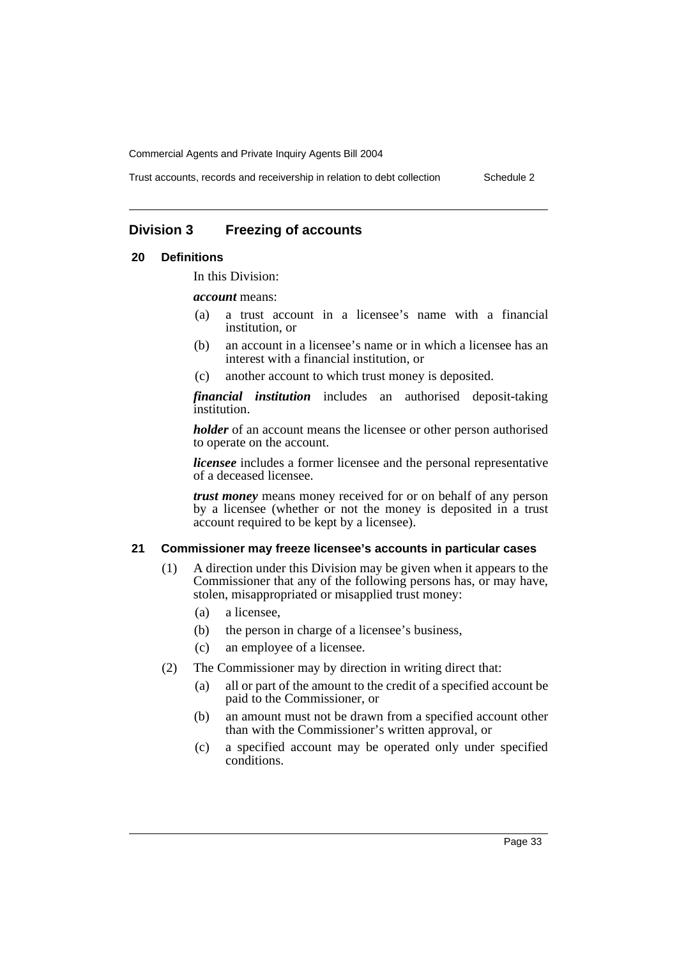Trust accounts, records and receivership in relation to debt collection Schedule 2

### **Division 3 Freezing of accounts**

#### **20 Definitions**

In this Division:

*account* means:

- (a) a trust account in a licensee's name with a financial institution, or
- (b) an account in a licensee's name or in which a licensee has an interest with a financial institution, or
- (c) another account to which trust money is deposited.

*financial institution* includes an authorised deposit-taking institution.

*holder* of an account means the licensee or other person authorised to operate on the account.

*licensee* includes a former licensee and the personal representative of a deceased licensee.

*trust money* means money received for or on behalf of any person by a licensee (whether or not the money is deposited in a trust account required to be kept by a licensee).

#### **21 Commissioner may freeze licensee's accounts in particular cases**

- (1) A direction under this Division may be given when it appears to the Commissioner that any of the following persons has, or may have, stolen, misappropriated or misapplied trust money:
	- (a) a licensee,
	- (b) the person in charge of a licensee's business,
	- (c) an employee of a licensee.
- (2) The Commissioner may by direction in writing direct that:
	- (a) all or part of the amount to the credit of a specified account be paid to the Commissioner, or
	- (b) an amount must not be drawn from a specified account other than with the Commissioner's written approval, or
	- (c) a specified account may be operated only under specified conditions.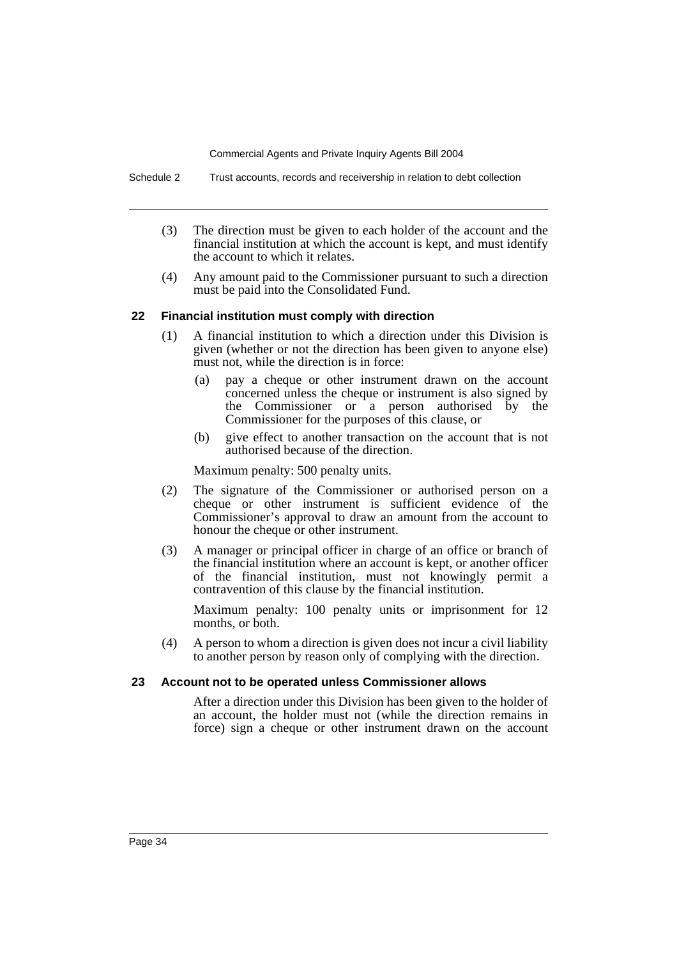Schedule 2 Trust accounts, records and receivership in relation to debt collection

- (3) The direction must be given to each holder of the account and the financial institution at which the account is kept, and must identify the account to which it relates.
- (4) Any amount paid to the Commissioner pursuant to such a direction must be paid into the Consolidated Fund.

#### **22 Financial institution must comply with direction**

- (1) A financial institution to which a direction under this Division is given (whether or not the direction has been given to anyone else) must not, while the direction is in force:
	- (a) pay a cheque or other instrument drawn on the account concerned unless the cheque or instrument is also signed by the Commissioner or a person authorised by the Commissioner for the purposes of this clause, or
	- (b) give effect to another transaction on the account that is not authorised because of the direction.

Maximum penalty: 500 penalty units.

- (2) The signature of the Commissioner or authorised person on a cheque or other instrument is sufficient evidence of the Commissioner's approval to draw an amount from the account to honour the cheque or other instrument.
- (3) A manager or principal officer in charge of an office or branch of the financial institution where an account is kept, or another officer of the financial institution, must not knowingly permit a contravention of this clause by the financial institution.

Maximum penalty: 100 penalty units or imprisonment for 12 months, or both.

(4) A person to whom a direction is given does not incur a civil liability to another person by reason only of complying with the direction.

#### **23 Account not to be operated unless Commissioner allows**

After a direction under this Division has been given to the holder of an account, the holder must not (while the direction remains in force) sign a cheque or other instrument drawn on the account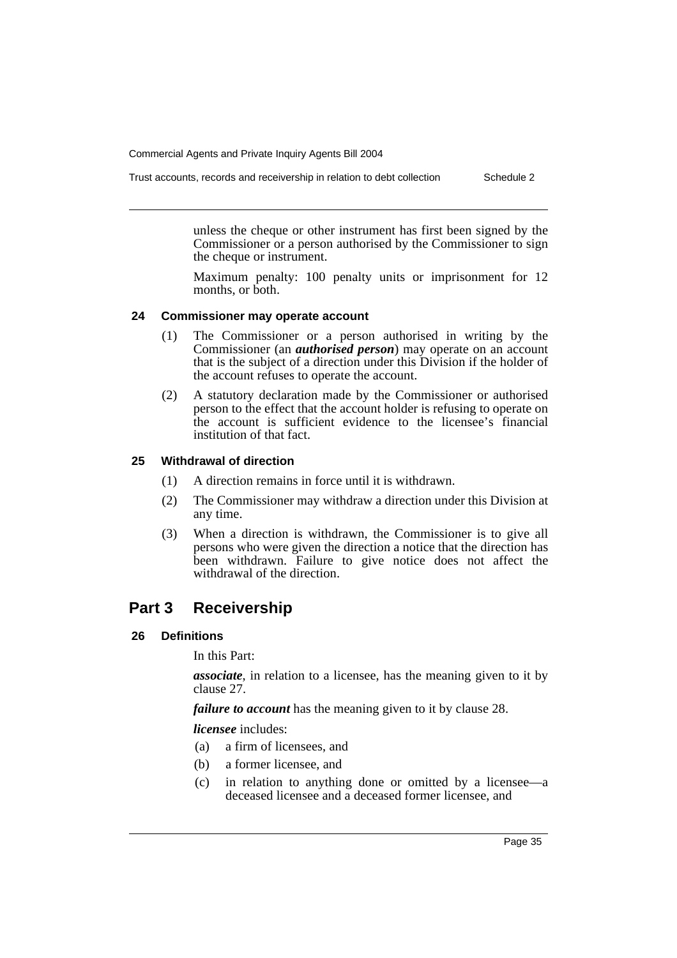Trust accounts, records and receivership in relation to debt collection Schedule 2

unless the cheque or other instrument has first been signed by the Commissioner or a person authorised by the Commissioner to sign the cheque or instrument.

Maximum penalty: 100 penalty units or imprisonment for 12 months, or both.

#### **24 Commissioner may operate account**

- (1) The Commissioner or a person authorised in writing by the Commissioner (an *authorised person*) may operate on an account that is the subject of a direction under this Division if the holder of the account refuses to operate the account.
- (2) A statutory declaration made by the Commissioner or authorised person to the effect that the account holder is refusing to operate on the account is sufficient evidence to the licensee's financial institution of that fact.

#### **25 Withdrawal of direction**

- (1) A direction remains in force until it is withdrawn.
- (2) The Commissioner may withdraw a direction under this Division at any time.
- (3) When a direction is withdrawn, the Commissioner is to give all persons who were given the direction a notice that the direction has been withdrawn. Failure to give notice does not affect the withdrawal of the direction.

### **Part 3 Receivership**

#### **26 Definitions**

In this Part:

*associate*, in relation to a licensee, has the meaning given to it by clause 27.

*failure to account* has the meaning given to it by clause 28.

*licensee* includes:

- (a) a firm of licensees, and
- (b) a former licensee, and
- (c) in relation to anything done or omitted by a licensee—a deceased licensee and a deceased former licensee, and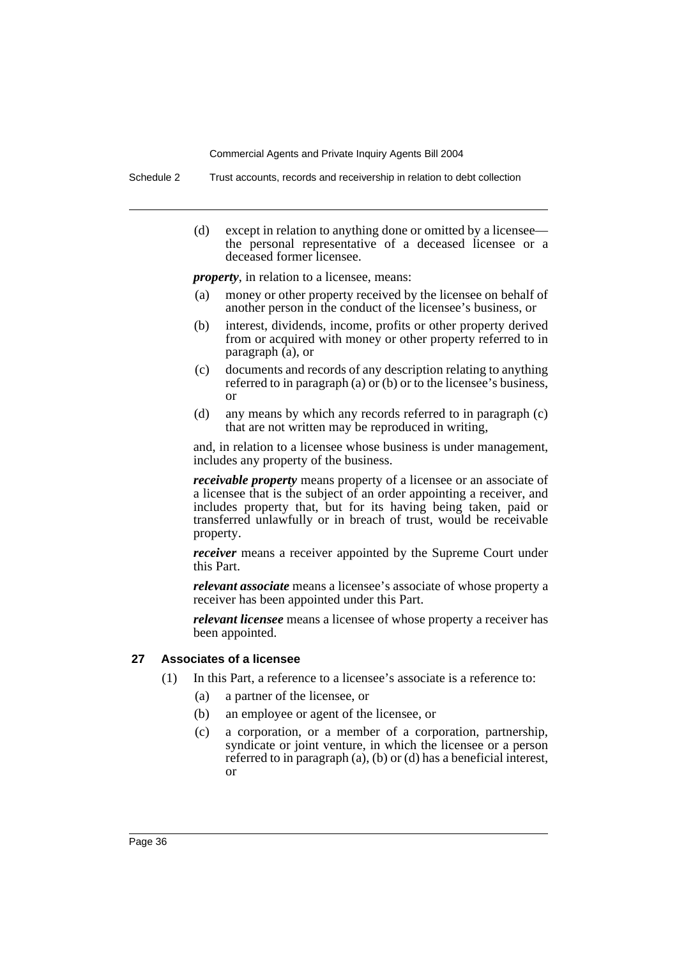Schedule 2 Trust accounts, records and receivership in relation to debt collection

(d) except in relation to anything done or omitted by a licensee the personal representative of a deceased licensee or a deceased former licensee.

*property*, in relation to a licensee, means:

- (a) money or other property received by the licensee on behalf of another person in the conduct of the licensee's business, or
- (b) interest, dividends, income, profits or other property derived from or acquired with money or other property referred to in paragraph  $(a)$ , or
- (c) documents and records of any description relating to anything referred to in paragraph (a) or (b) or to the licensee's business, or
- (d) any means by which any records referred to in paragraph (c) that are not written may be reproduced in writing,

and, in relation to a licensee whose business is under management, includes any property of the business.

*receivable property* means property of a licensee or an associate of a licensee that is the subject of an order appointing a receiver, and includes property that, but for its having being taken, paid or transferred unlawfully or in breach of trust, would be receivable property.

*receiver* means a receiver appointed by the Supreme Court under this Part.

*relevant associate* means a licensee's associate of whose property a receiver has been appointed under this Part.

*relevant licensee* means a licensee of whose property a receiver has been appointed.

#### **27 Associates of a licensee**

- (1) In this Part, a reference to a licensee's associate is a reference to:
	- (a) a partner of the licensee, or
	- (b) an employee or agent of the licensee, or
	- (c) a corporation, or a member of a corporation, partnership, syndicate or joint venture, in which the licensee or a person referred to in paragraph (a), (b) or (d) has a beneficial interest, or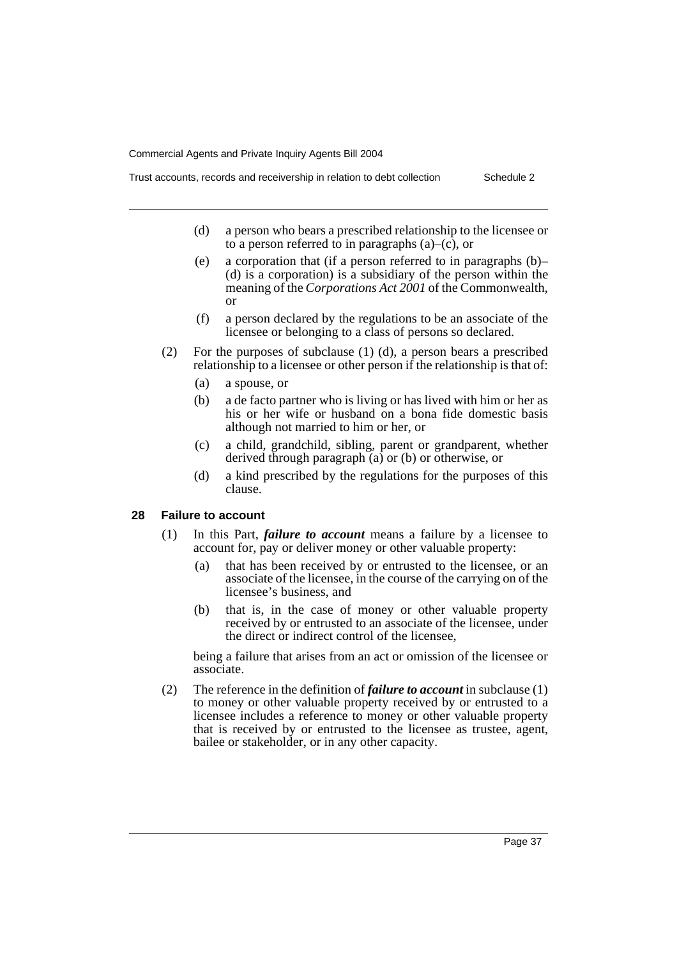- Trust accounts, records and receivership in relation to debt collection Schedule 2
	- (d) a person who bears a prescribed relationship to the licensee or to a person referred to in paragraphs  $(a)$ – $(c)$ , or
	- (e) a corporation that (if a person referred to in paragraphs (b)– (d) is a corporation) is a subsidiary of the person within the meaning of the *Corporations Act 2001* of the Commonwealth, or
	- (f) a person declared by the regulations to be an associate of the licensee or belonging to a class of persons so declared.
	- (2) For the purposes of subclause (1) (d), a person bears a prescribed relationship to a licensee or other person if the relationship is that of:
		- (a) a spouse, or
		- (b) a de facto partner who is living or has lived with him or her as his or her wife or husband on a bona fide domestic basis although not married to him or her, or
		- (c) a child, grandchild, sibling, parent or grandparent, whether derived through paragraph (a) or (b) or otherwise, or
		- (d) a kind prescribed by the regulations for the purposes of this clause.

#### **28 Failure to account**

- (1) In this Part, *failure to account* means a failure by a licensee to account for, pay or deliver money or other valuable property:
	- (a) that has been received by or entrusted to the licensee, or an associate of the licensee, in the course of the carrying on of the licensee's business, and
	- (b) that is, in the case of money or other valuable property received by or entrusted to an associate of the licensee, under the direct or indirect control of the licensee,

being a failure that arises from an act or omission of the licensee or associate.

(2) The reference in the definition of *failure to account* in subclause (1) to money or other valuable property received by or entrusted to a licensee includes a reference to money or other valuable property that is received by or entrusted to the licensee as trustee, agent, bailee or stakeholder, or in any other capacity.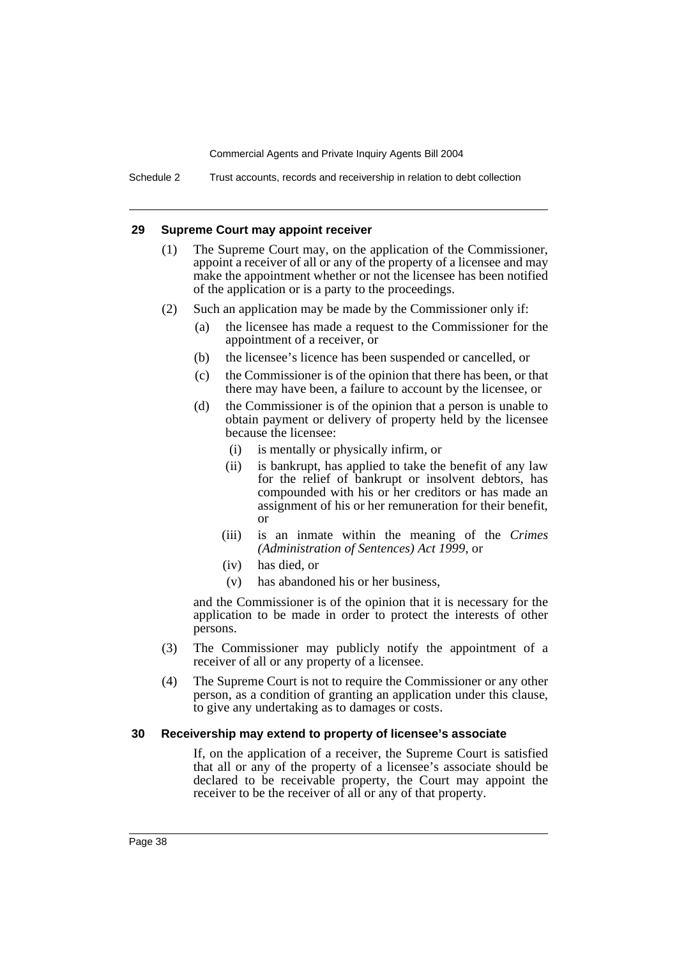Schedule 2 Trust accounts, records and receivership in relation to debt collection

#### **29 Supreme Court may appoint receiver**

- (1) The Supreme Court may, on the application of the Commissioner, appoint a receiver of all or any of the property of a licensee and may make the appointment whether or not the licensee has been notified of the application or is a party to the proceedings.
- (2) Such an application may be made by the Commissioner only if:
	- (a) the licensee has made a request to the Commissioner for the appointment of a receiver, or
	- (b) the licensee's licence has been suspended or cancelled, or
	- (c) the Commissioner is of the opinion that there has been, or that there may have been, a failure to account by the licensee, or
	- (d) the Commissioner is of the opinion that a person is unable to obtain payment or delivery of property held by the licensee because the licensee:
		- (i) is mentally or physically infirm, or
		- (ii) is bankrupt, has applied to take the benefit of any law for the relief of bankrupt or insolvent debtors, has compounded with his or her creditors or has made an assignment of his or her remuneration for their benefit, or
		- (iii) is an inmate within the meaning of the *Crimes (Administration of Sentences) Act 1999*, or
		- (iv) has died, or
		- (v) has abandoned his or her business,

and the Commissioner is of the opinion that it is necessary for the application to be made in order to protect the interests of other persons.

- (3) The Commissioner may publicly notify the appointment of a receiver of all or any property of a licensee.
- (4) The Supreme Court is not to require the Commissioner or any other person, as a condition of granting an application under this clause, to give any undertaking as to damages or costs.

#### **30 Receivership may extend to property of licensee's associate**

If, on the application of a receiver, the Supreme Court is satisfied that all or any of the property of a licensee's associate should be declared to be receivable property, the Court may appoint the receiver to be the receiver of all or any of that property.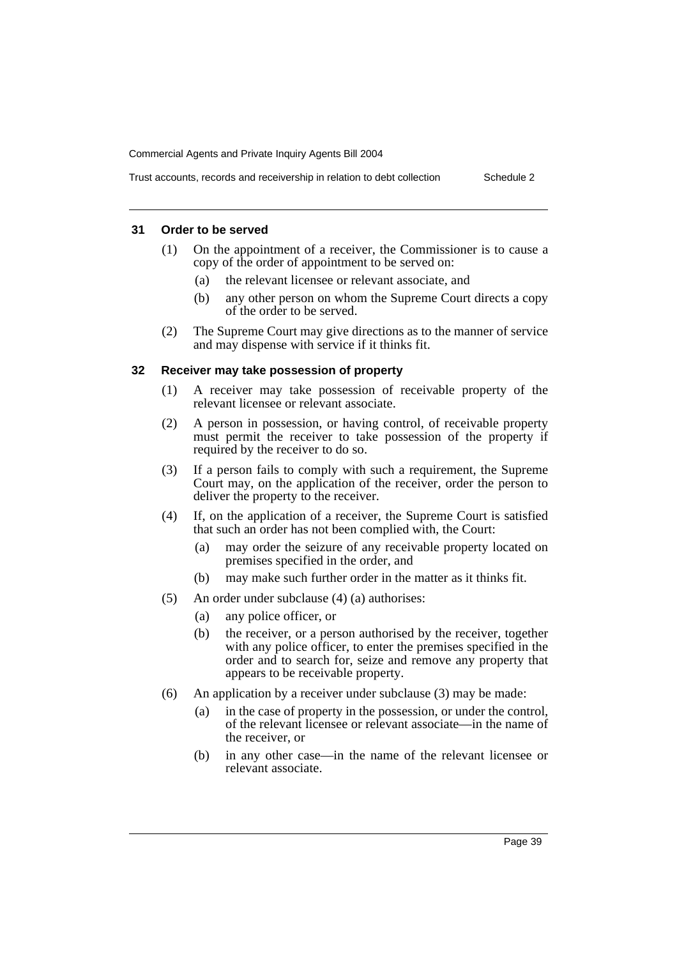### Trust accounts, records and receivership in relation to debt collection Schedule 2

#### **31 Order to be served**

- (1) On the appointment of a receiver, the Commissioner is to cause a copy of the order of appointment to be served on:
	- (a) the relevant licensee or relevant associate, and
	- (b) any other person on whom the Supreme Court directs a copy of the order to be served.
- (2) The Supreme Court may give directions as to the manner of service and may dispense with service if it thinks fit.

#### **32 Receiver may take possession of property**

- (1) A receiver may take possession of receivable property of the relevant licensee or relevant associate.
- (2) A person in possession, or having control, of receivable property must permit the receiver to take possession of the property if required by the receiver to do so.
- (3) If a person fails to comply with such a requirement, the Supreme Court may, on the application of the receiver, order the person to deliver the property to the receiver.
- (4) If, on the application of a receiver, the Supreme Court is satisfied that such an order has not been complied with, the Court:
	- (a) may order the seizure of any receivable property located on premises specified in the order, and
	- (b) may make such further order in the matter as it thinks fit.
- (5) An order under subclause (4) (a) authorises:
	- (a) any police officer, or
	- (b) the receiver, or a person authorised by the receiver, together with any police officer, to enter the premises specified in the order and to search for, seize and remove any property that appears to be receivable property.
- (6) An application by a receiver under subclause (3) may be made:
	- (a) in the case of property in the possession, or under the control, of the relevant licensee or relevant associate—in the name of the receiver, or
	- (b) in any other case—in the name of the relevant licensee or relevant associate.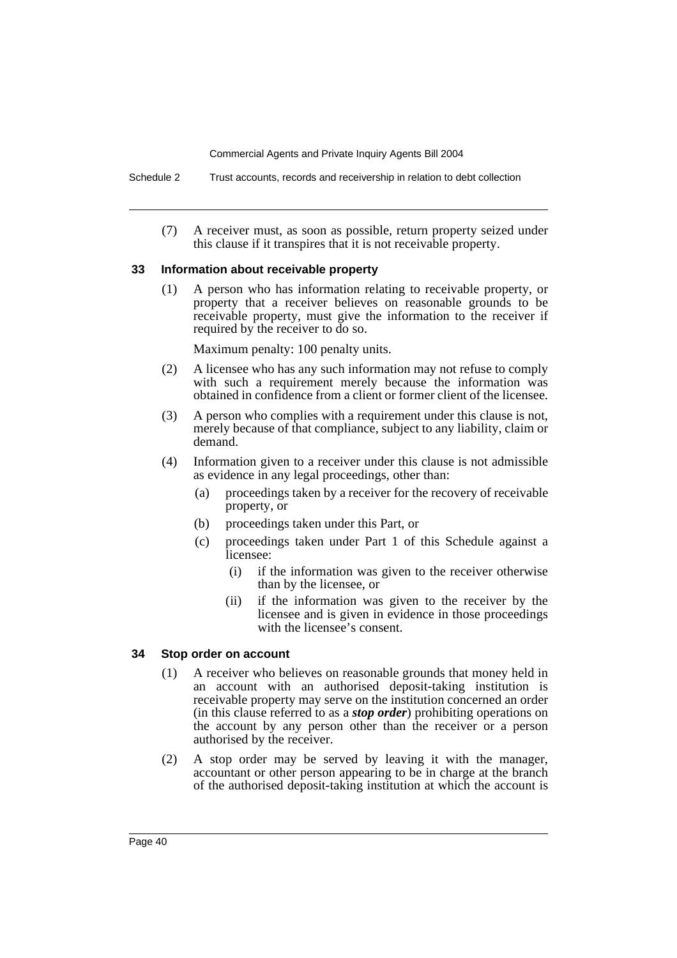Schedule 2 Trust accounts, records and receivership in relation to debt collection

(7) A receiver must, as soon as possible, return property seized under this clause if it transpires that it is not receivable property.

#### **33 Information about receivable property**

(1) A person who has information relating to receivable property, or property that a receiver believes on reasonable grounds to be receivable property, must give the information to the receiver if required by the receiver to do so.

Maximum penalty: 100 penalty units.

- (2) A licensee who has any such information may not refuse to comply with such a requirement merely because the information was obtained in confidence from a client or former client of the licensee.
- (3) A person who complies with a requirement under this clause is not, merely because of that compliance, subject to any liability, claim or demand.
- (4) Information given to a receiver under this clause is not admissible as evidence in any legal proceedings, other than:
	- (a) proceedings taken by a receiver for the recovery of receivable property, or
	- (b) proceedings taken under this Part, or
	- (c) proceedings taken under Part 1 of this Schedule against a licensee:
		- (i) if the information was given to the receiver otherwise than by the licensee, or
		- (ii) if the information was given to the receiver by the licensee and is given in evidence in those proceedings with the licensee's consent.

#### **34 Stop order on account**

- (1) A receiver who believes on reasonable grounds that money held in an account with an authorised deposit-taking institution is receivable property may serve on the institution concerned an order (in this clause referred to as a *stop order*) prohibiting operations on the account by any person other than the receiver or a person authorised by the receiver.
- (2) A stop order may be served by leaving it with the manager, accountant or other person appearing to be in charge at the branch of the authorised deposit-taking institution at which the account is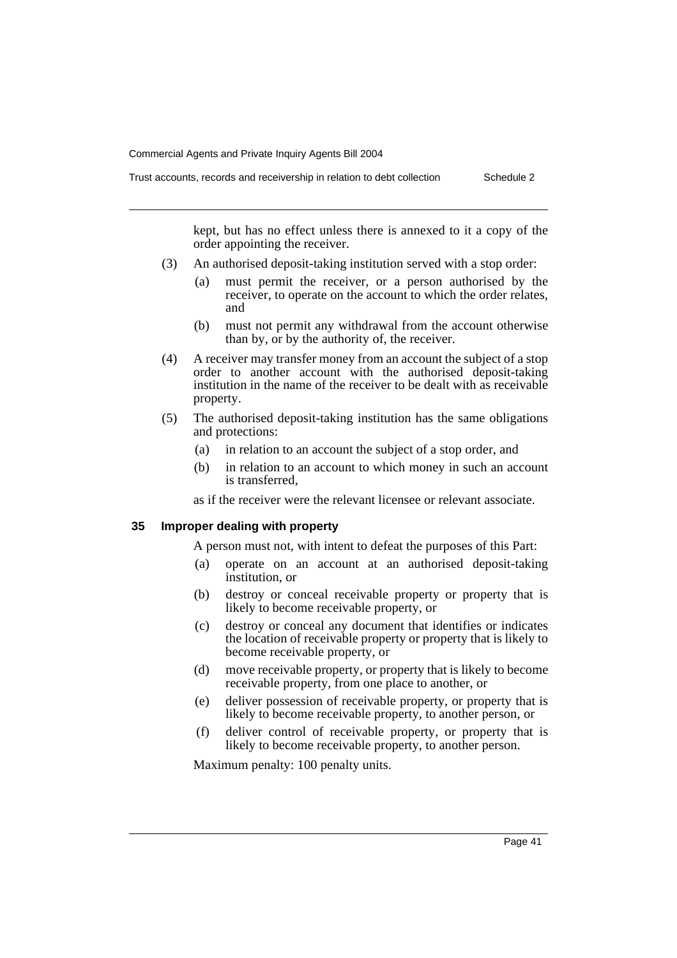Trust accounts, records and receivership in relation to debt collection Schedule 2

kept, but has no effect unless there is annexed to it a copy of the order appointing the receiver.

- (3) An authorised deposit-taking institution served with a stop order:
	- (a) must permit the receiver, or a person authorised by the receiver, to operate on the account to which the order relates, and
	- (b) must not permit any withdrawal from the account otherwise than by, or by the authority of, the receiver.
- (4) A receiver may transfer money from an account the subject of a stop order to another account with the authorised deposit-taking institution in the name of the receiver to be dealt with as receivable property.
- (5) The authorised deposit-taking institution has the same obligations and protections:
	- (a) in relation to an account the subject of a stop order, and
	- (b) in relation to an account to which money in such an account is transferred,

as if the receiver were the relevant licensee or relevant associate.

#### **35 Improper dealing with property**

A person must not, with intent to defeat the purposes of this Part:

- (a) operate on an account at an authorised deposit-taking institution, or
- (b) destroy or conceal receivable property or property that is likely to become receivable property, or
- (c) destroy or conceal any document that identifies or indicates the location of receivable property or property that is likely to become receivable property, or
- (d) move receivable property, or property that is likely to become receivable property, from one place to another, or
- (e) deliver possession of receivable property, or property that is likely to become receivable property, to another person, or
- (f) deliver control of receivable property, or property that is likely to become receivable property, to another person.

Maximum penalty: 100 penalty units.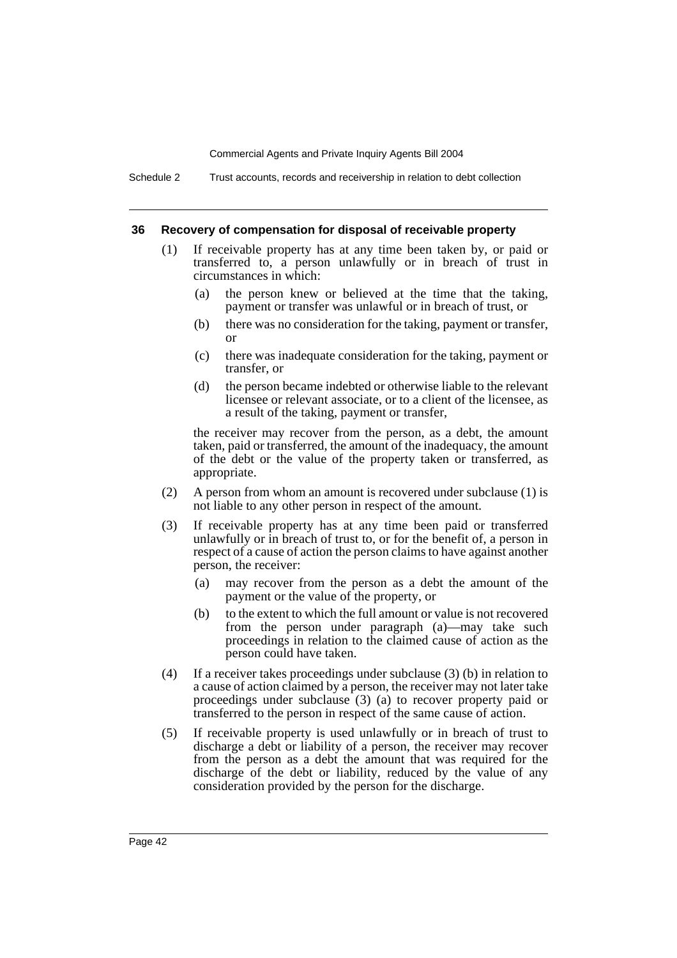Schedule 2 Trust accounts, records and receivership in relation to debt collection

#### **36 Recovery of compensation for disposal of receivable property**

- (1) If receivable property has at any time been taken by, or paid or transferred to, a person unlawfully or in breach of trust in circumstances in which:
	- (a) the person knew or believed at the time that the taking, payment or transfer was unlawful or in breach of trust, or
	- (b) there was no consideration for the taking, payment or transfer, or
	- (c) there was inadequate consideration for the taking, payment or transfer, or
	- (d) the person became indebted or otherwise liable to the relevant licensee or relevant associate, or to a client of the licensee, as a result of the taking, payment or transfer,

the receiver may recover from the person, as a debt, the amount taken, paid or transferred, the amount of the inadequacy, the amount of the debt or the value of the property taken or transferred, as appropriate.

- (2) A person from whom an amount is recovered under subclause (1) is not liable to any other person in respect of the amount.
- (3) If receivable property has at any time been paid or transferred unlawfully or in breach of trust to, or for the benefit of, a person in respect of a cause of action the person claims to have against another person, the receiver:
	- (a) may recover from the person as a debt the amount of the payment or the value of the property, or
	- (b) to the extent to which the full amount or value is not recovered from the person under paragraph (a)—may take such proceedings in relation to the claimed cause of action as the person could have taken.
- (4) If a receiver takes proceedings under subclause (3) (b) in relation to a cause of action claimed by a person, the receiver may not later take proceedings under subclause (3) (a) to recover property paid or transferred to the person in respect of the same cause of action.
- (5) If receivable property is used unlawfully or in breach of trust to discharge a debt or liability of a person, the receiver may recover from the person as a debt the amount that was required for the discharge of the debt or liability, reduced by the value of any consideration provided by the person for the discharge.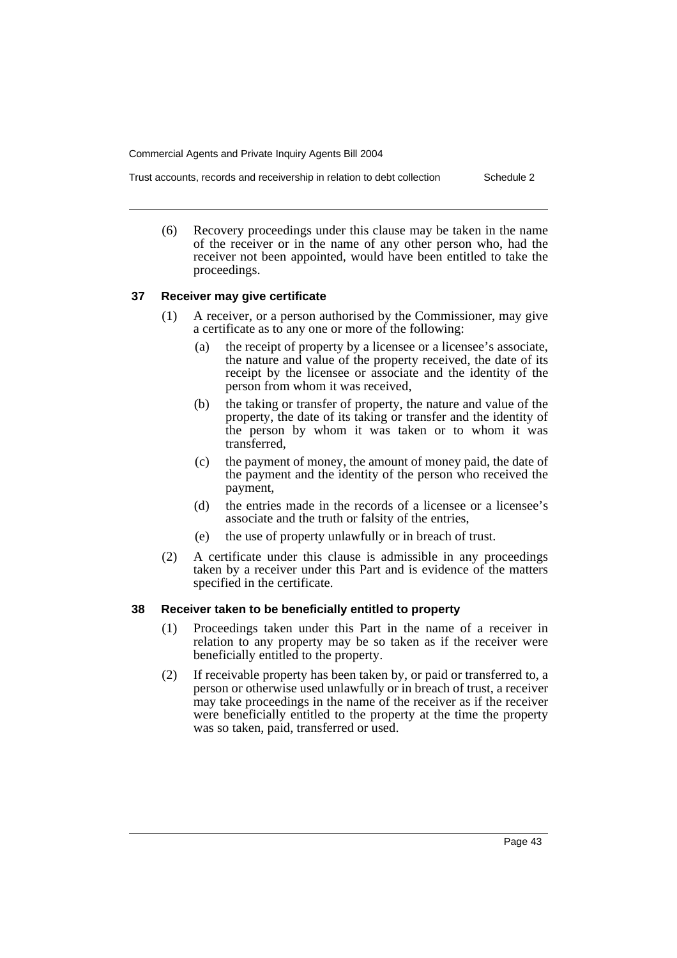Trust accounts, records and receivership in relation to debt collection Schedule 2

(6) Recovery proceedings under this clause may be taken in the name of the receiver or in the name of any other person who, had the receiver not been appointed, would have been entitled to take the proceedings.

#### **37 Receiver may give certificate**

- (1) A receiver, or a person authorised by the Commissioner, may give a certificate as to any one or more of the following:
	- (a) the receipt of property by a licensee or a licensee's associate, the nature and value of the property received, the date of its receipt by the licensee or associate and the identity of the person from whom it was received,
	- (b) the taking or transfer of property, the nature and value of the property, the date of its taking or transfer and the identity of the person by whom it was taken or to whom it was transferred,
	- (c) the payment of money, the amount of money paid, the date of the payment and the identity of the person who received the payment,
	- (d) the entries made in the records of a licensee or a licensee's associate and the truth or falsity of the entries,
	- (e) the use of property unlawfully or in breach of trust.
- (2) A certificate under this clause is admissible in any proceedings taken by a receiver under this Part and is evidence of the matters specified in the certificate.

#### **38 Receiver taken to be beneficially entitled to property**

- (1) Proceedings taken under this Part in the name of a receiver in relation to any property may be so taken as if the receiver were beneficially entitled to the property.
- (2) If receivable property has been taken by, or paid or transferred to, a person or otherwise used unlawfully or in breach of trust, a receiver may take proceedings in the name of the receiver as if the receiver were beneficially entitled to the property at the time the property was so taken, paid, transferred or used.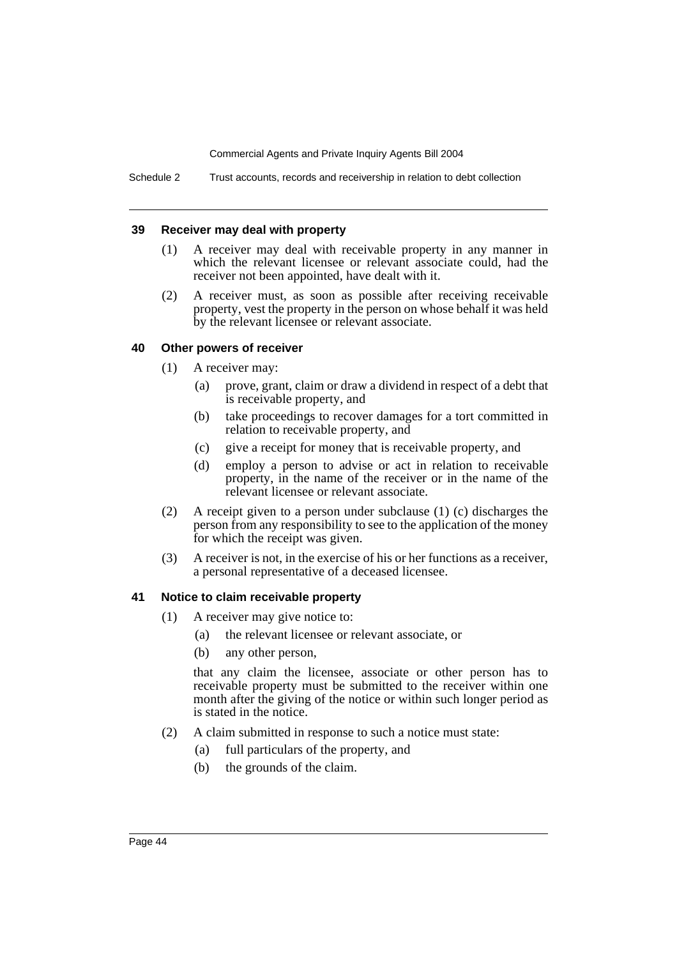Schedule 2 Trust accounts, records and receivership in relation to debt collection

#### **39 Receiver may deal with property**

- (1) A receiver may deal with receivable property in any manner in which the relevant licensee or relevant associate could, had the receiver not been appointed, have dealt with it.
- (2) A receiver must, as soon as possible after receiving receivable property, vest the property in the person on whose behalf it was held by the relevant licensee or relevant associate.

#### **40 Other powers of receiver**

- (1) A receiver may:
	- (a) prove, grant, claim or draw a dividend in respect of a debt that is receivable property, and
	- (b) take proceedings to recover damages for a tort committed in relation to receivable property, and
	- (c) give a receipt for money that is receivable property, and
	- (d) employ a person to advise or act in relation to receivable property, in the name of the receiver or in the name of the relevant licensee or relevant associate.
- (2) A receipt given to a person under subclause (1) (c) discharges the person from any responsibility to see to the application of the money for which the receipt was given.
- (3) A receiver is not, in the exercise of his or her functions as a receiver, a personal representative of a deceased licensee.

#### **41 Notice to claim receivable property**

- (1) A receiver may give notice to:
	- (a) the relevant licensee or relevant associate, or
	- (b) any other person,

that any claim the licensee, associate or other person has to receivable property must be submitted to the receiver within one month after the giving of the notice or within such longer period as is stated in the notice.

- (2) A claim submitted in response to such a notice must state:
	- (a) full particulars of the property, and
	- (b) the grounds of the claim.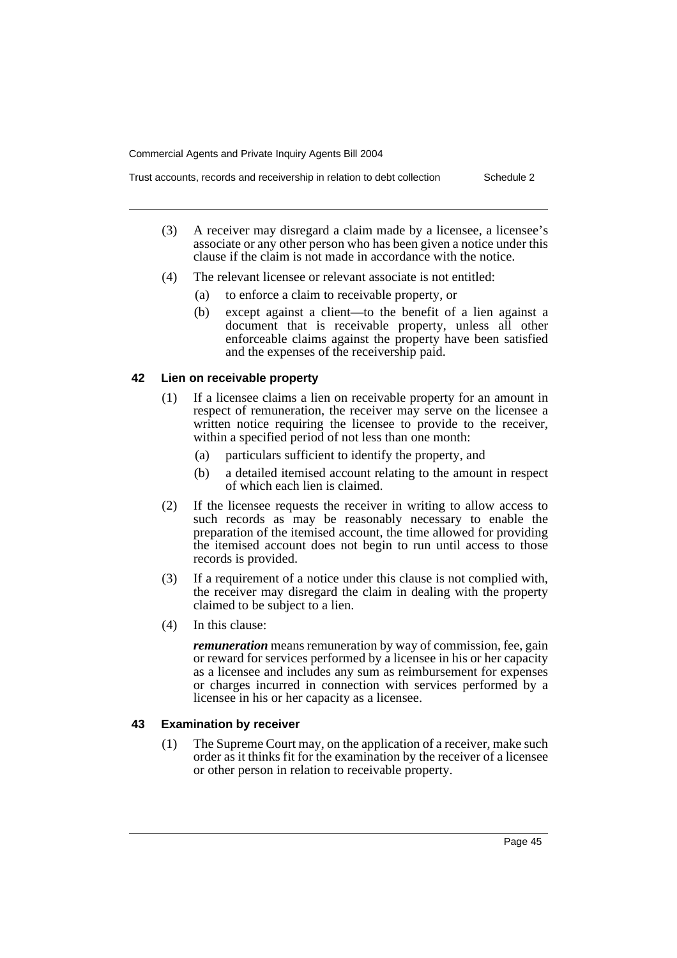Trust accounts, records and receivership in relation to debt collection Schedule 2

- (3) A receiver may disregard a claim made by a licensee, a licensee's associate or any other person who has been given a notice under this clause if the claim is not made in accordance with the notice.
- (4) The relevant licensee or relevant associate is not entitled:
	- (a) to enforce a claim to receivable property, or
	- (b) except against a client—to the benefit of a lien against a document that is receivable property, unless all other enforceable claims against the property have been satisfied and the expenses of the receivership paid.

#### **42 Lien on receivable property**

- (1) If a licensee claims a lien on receivable property for an amount in respect of remuneration, the receiver may serve on the licensee a written notice requiring the licensee to provide to the receiver, within a specified period of not less than one month:
	- (a) particulars sufficient to identify the property, and
	- (b) a detailed itemised account relating to the amount in respect of which each lien is claimed.
- (2) If the licensee requests the receiver in writing to allow access to such records as may be reasonably necessary to enable the preparation of the itemised account, the time allowed for providing the itemised account does not begin to run until access to those records is provided.
- (3) If a requirement of a notice under this clause is not complied with, the receiver may disregard the claim in dealing with the property claimed to be subject to a lien.
- (4) In this clause:

*remuneration* means remuneration by way of commission, fee, gain or reward for services performed by a licensee in his or her capacity as a licensee and includes any sum as reimbursement for expenses or charges incurred in connection with services performed by a licensee in his or her capacity as a licensee.

#### **43 Examination by receiver**

(1) The Supreme Court may, on the application of a receiver, make such order as it thinks fit for the examination by the receiver of a licensee or other person in relation to receivable property.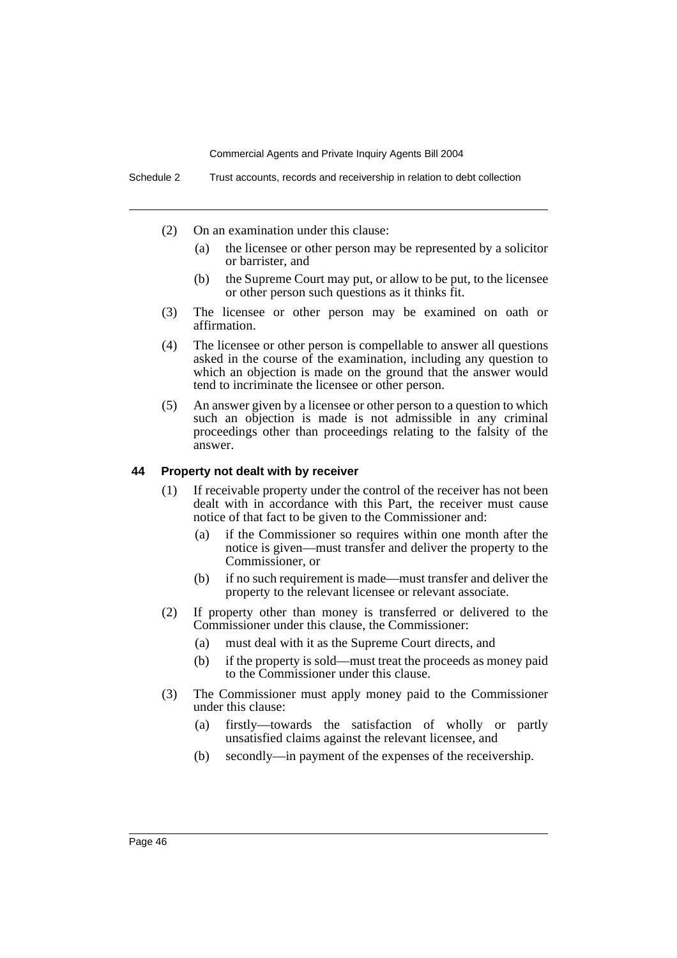- (2) On an examination under this clause:
	- (a) the licensee or other person may be represented by a solicitor or barrister, and
	- (b) the Supreme Court may put, or allow to be put, to the licensee or other person such questions as it thinks fit.
- (3) The licensee or other person may be examined on oath or affirmation.
- (4) The licensee or other person is compellable to answer all questions asked in the course of the examination, including any question to which an objection is made on the ground that the answer would tend to incriminate the licensee or other person.
- (5) An answer given by a licensee or other person to a question to which such an objection is made is not admissible in any criminal proceedings other than proceedings relating to the falsity of the answer.

#### **44 Property not dealt with by receiver**

- (1) If receivable property under the control of the receiver has not been dealt with in accordance with this Part, the receiver must cause notice of that fact to be given to the Commissioner and:
	- (a) if the Commissioner so requires within one month after the notice is given—must transfer and deliver the property to the Commissioner, or
	- (b) if no such requirement is made—must transfer and deliver the property to the relevant licensee or relevant associate.
- (2) If property other than money is transferred or delivered to the Commissioner under this clause, the Commissioner:
	- (a) must deal with it as the Supreme Court directs, and
	- (b) if the property is sold—must treat the proceeds as money paid to the Commissioner under this clause.
- (3) The Commissioner must apply money paid to the Commissioner under this clause:
	- (a) firstly—towards the satisfaction of wholly or partly unsatisfied claims against the relevant licensee, and
	- (b) secondly—in payment of the expenses of the receivership.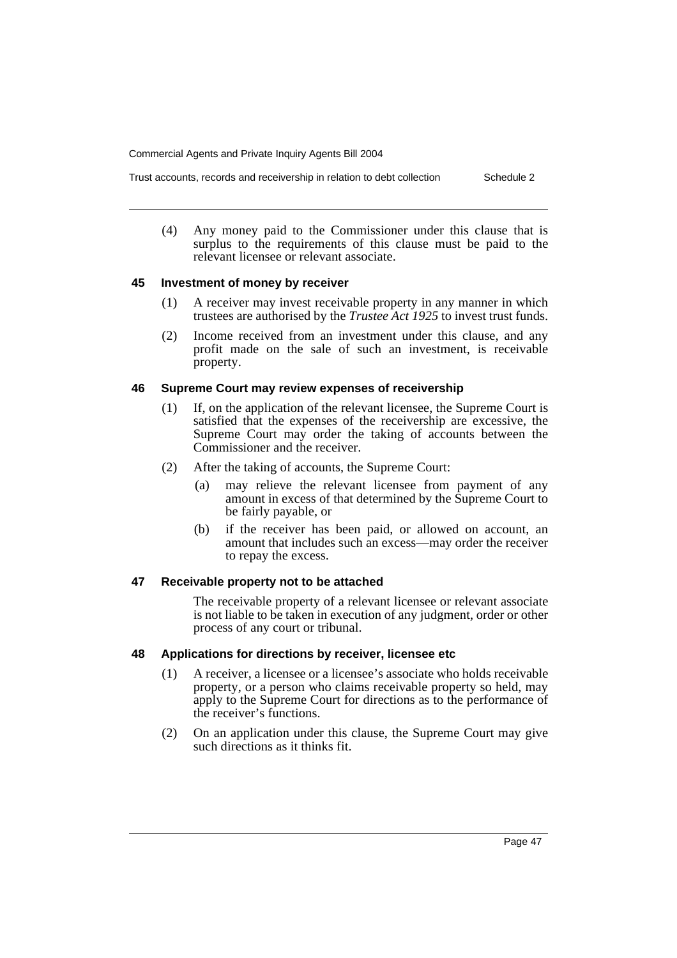- Trust accounts, records and receivership in relation to debt collection Schedule 2
	- (4) Any money paid to the Commissioner under this clause that is surplus to the requirements of this clause must be paid to the relevant licensee or relevant associate.

#### **45 Investment of money by receiver**

- (1) A receiver may invest receivable property in any manner in which trustees are authorised by the *Trustee Act 1925* to invest trust funds.
- (2) Income received from an investment under this clause, and any profit made on the sale of such an investment, is receivable property.

#### **46 Supreme Court may review expenses of receivership**

- (1) If, on the application of the relevant licensee, the Supreme Court is satisfied that the expenses of the receivership are excessive, the Supreme Court may order the taking of accounts between the Commissioner and the receiver.
- (2) After the taking of accounts, the Supreme Court:
	- (a) may relieve the relevant licensee from payment of any amount in excess of that determined by the Supreme Court to be fairly payable, or
	- (b) if the receiver has been paid, or allowed on account, an amount that includes such an excess—may order the receiver to repay the excess.

#### **47 Receivable property not to be attached**

The receivable property of a relevant licensee or relevant associate is not liable to be taken in execution of any judgment, order or other process of any court or tribunal.

#### **48 Applications for directions by receiver, licensee etc**

- (1) A receiver, a licensee or a licensee's associate who holds receivable property, or a person who claims receivable property so held, may apply to the Supreme Court for directions as to the performance of the receiver's functions.
- (2) On an application under this clause, the Supreme Court may give such directions as it thinks fit.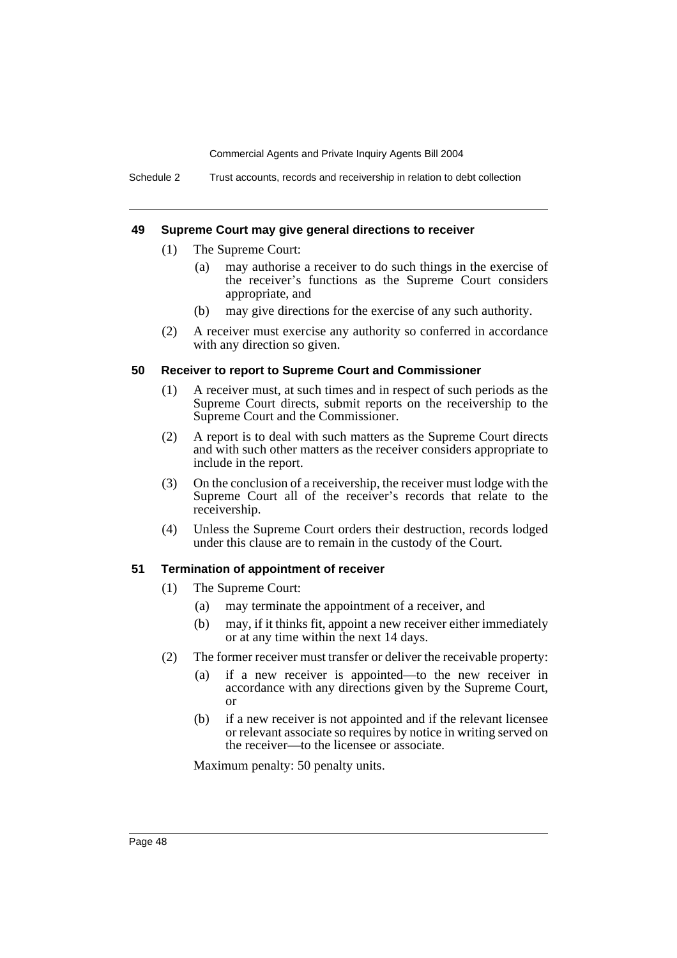Schedule 2 Trust accounts, records and receivership in relation to debt collection

#### **49 Supreme Court may give general directions to receiver**

- (1) The Supreme Court:
	- (a) may authorise a receiver to do such things in the exercise of the receiver's functions as the Supreme Court considers appropriate, and
	- (b) may give directions for the exercise of any such authority.
- (2) A receiver must exercise any authority so conferred in accordance with any direction so given.

#### **50 Receiver to report to Supreme Court and Commissioner**

- (1) A receiver must, at such times and in respect of such periods as the Supreme Court directs, submit reports on the receivership to the Supreme Court and the Commissioner.
- (2) A report is to deal with such matters as the Supreme Court directs and with such other matters as the receiver considers appropriate to include in the report.
- (3) On the conclusion of a receivership, the receiver must lodge with the Supreme Court all of the receiver's records that relate to the receivership.
- (4) Unless the Supreme Court orders their destruction, records lodged under this clause are to remain in the custody of the Court.

#### **51 Termination of appointment of receiver**

- (1) The Supreme Court:
	- (a) may terminate the appointment of a receiver, and
	- (b) may, if it thinks fit, appoint a new receiver either immediately or at any time within the next 14 days.
- (2) The former receiver must transfer or deliver the receivable property:
	- (a) if a new receiver is appointed—to the new receiver in accordance with any directions given by the Supreme Court, or
	- (b) if a new receiver is not appointed and if the relevant licensee or relevant associate so requires by notice in writing served on the receiver—to the licensee or associate.

Maximum penalty: 50 penalty units.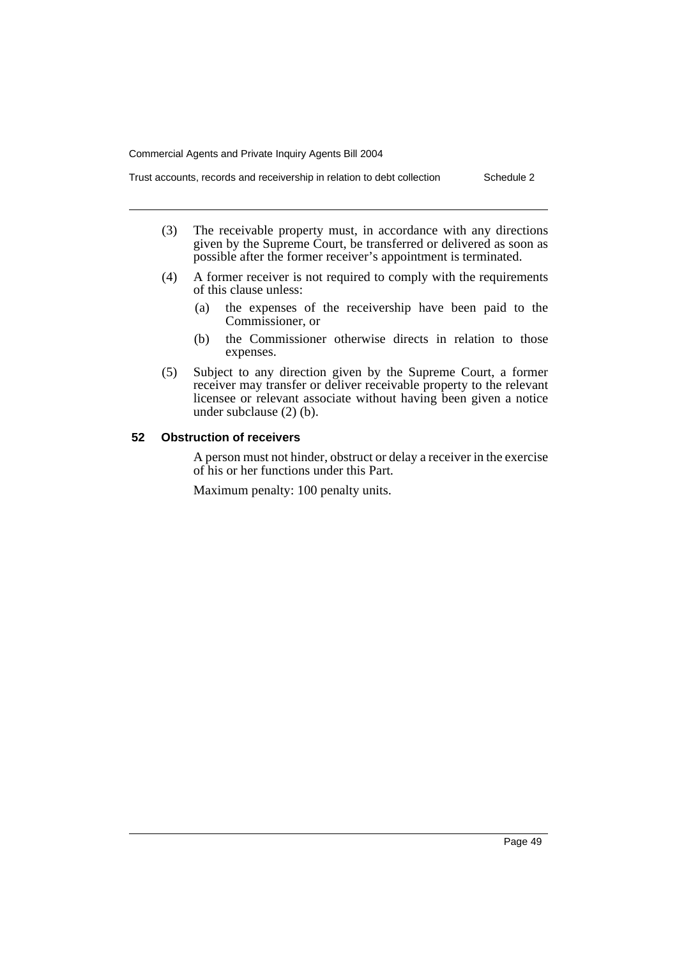Trust accounts, records and receivership in relation to debt collection Schedule 2

- (3) The receivable property must, in accordance with any directions given by the Supreme Court, be transferred or delivered as soon as possible after the former receiver's appointment is terminated.
- (4) A former receiver is not required to comply with the requirements of this clause unless:
	- (a) the expenses of the receivership have been paid to the Commissioner, or
	- (b) the Commissioner otherwise directs in relation to those expenses.
- (5) Subject to any direction given by the Supreme Court, a former receiver may transfer or deliver receivable property to the relevant licensee or relevant associate without having been given a notice under subclause (2) (b).

#### **52 Obstruction of receivers**

A person must not hinder, obstruct or delay a receiver in the exercise of his or her functions under this Part.

Maximum penalty: 100 penalty units.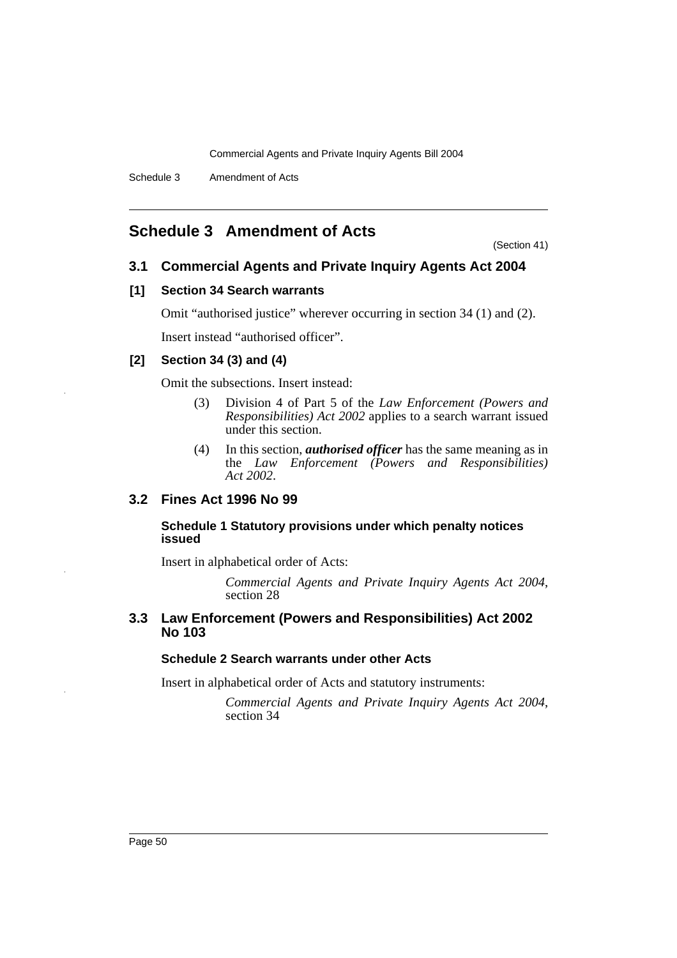Schedule 3 Amendment of Acts

### **Schedule 3 Amendment of Acts**

(Section 41)

### **3.1 Commercial Agents and Private Inquiry Agents Act 2004**

#### **[1] Section 34 Search warrants**

Omit "authorised justice" wherever occurring in section 34 (1) and (2).

Insert instead "authorised officer".

### **[2] Section 34 (3) and (4)**

Omit the subsections. Insert instead:

- (3) Division 4 of Part 5 of the *Law Enforcement (Powers and Responsibilities) Act 2002* applies to a search warrant issued under this section.
- (4) In this section, *authorised officer* has the same meaning as in the *Law Enforcement (Powers and Responsibilities) Act 2002*.

### **3.2 Fines Act 1996 No 99**

#### **Schedule 1 Statutory provisions under which penalty notices issued**

Insert in alphabetical order of Acts:

*Commercial Agents and Private Inquiry Agents Act 2004*, section 28

### **3.3 Law Enforcement (Powers and Responsibilities) Act 2002 No 103**

#### **Schedule 2 Search warrants under other Acts**

Insert in alphabetical order of Acts and statutory instruments:

*Commercial Agents and Private Inquiry Agents Act 2004*, section 34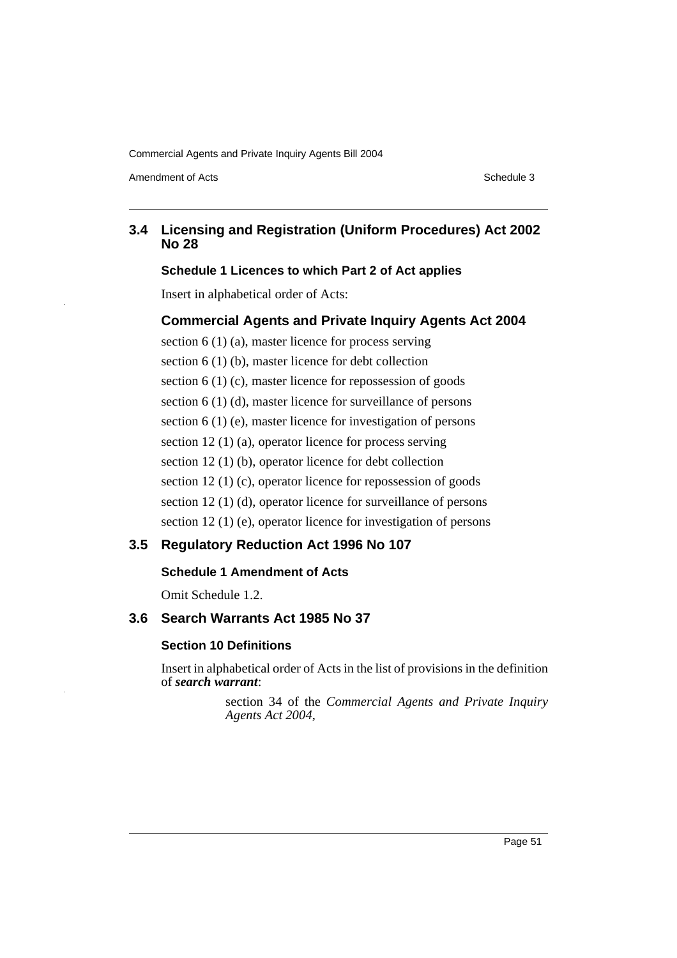Amendment of Acts **Schedule 3** and the 3 set of Acts Schedule 3

### **3.4 Licensing and Registration (Uniform Procedures) Act 2002 No 28**

#### **Schedule 1 Licences to which Part 2 of Act applies**

Insert in alphabetical order of Acts:

#### **Commercial Agents and Private Inquiry Agents Act 2004**

section 6 (1) (a), master licence for process serving section 6 (1) (b), master licence for debt collection section 6 (1) (c), master licence for repossession of goods section 6 (1) (d), master licence for surveillance of persons section 6 (1) (e), master licence for investigation of persons section 12 (1) (a), operator licence for process serving section 12 (1) (b), operator licence for debt collection section 12 (1) (c), operator licence for repossession of goods section 12 (1) (d), operator licence for surveillance of persons section 12 (1) (e), operator licence for investigation of persons

### **3.5 Regulatory Reduction Act 1996 No 107**

#### **Schedule 1 Amendment of Acts**

Omit Schedule 1.2.

#### **3.6 Search Warrants Act 1985 No 37**

### **Section 10 Definitions**

Insert in alphabetical order of Acts in the list of provisions in the definition of *search warrant*:

> section 34 of the *Commercial Agents and Private Inquiry Agents Act 2004*,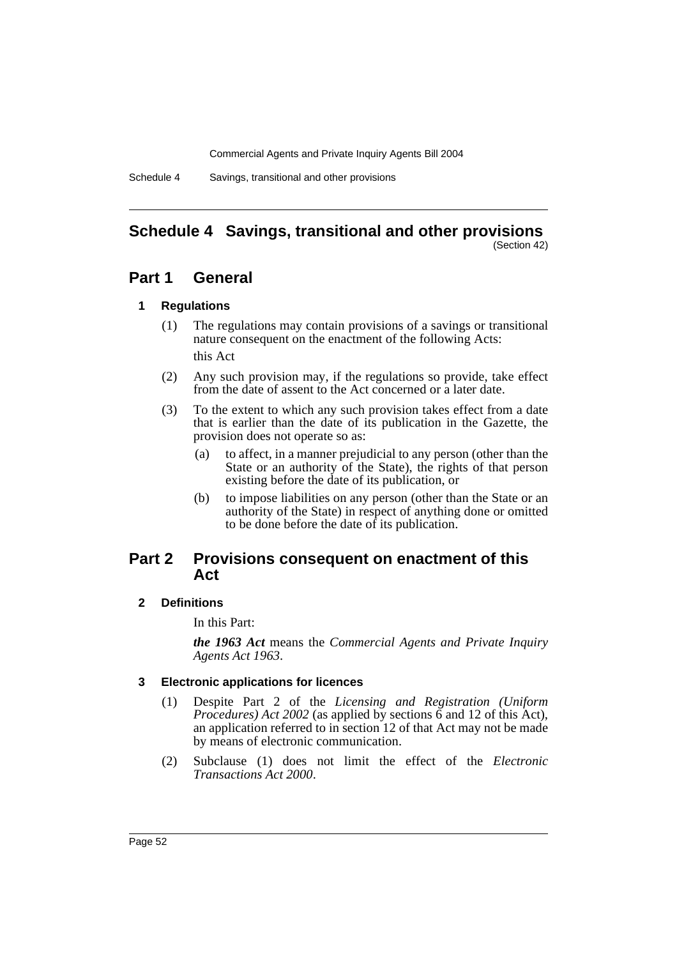Schedule 4 Savings, transitional and other provisions

#### **Schedule 4 Savings, transitional and other provisions** (Section 42)

### **Part 1 General**

#### **1 Regulations**

- (1) The regulations may contain provisions of a savings or transitional nature consequent on the enactment of the following Acts: this Act
- (2) Any such provision may, if the regulations so provide, take effect from the date of assent to the Act concerned or a later date.
- (3) To the extent to which any such provision takes effect from a date that is earlier than the date of its publication in the Gazette, the provision does not operate so as:
	- (a) to affect, in a manner prejudicial to any person (other than the State or an authority of the State), the rights of that person existing before the date of its publication, or
	- (b) to impose liabilities on any person (other than the State or an authority of the State) in respect of anything done or omitted to be done before the date of its publication.

### **Part 2 Provisions consequent on enactment of this Act**

### **2 Definitions**

In this Part:

*the 1963 Act* means the *Commercial Agents and Private Inquiry Agents Act 1963*.

### **3 Electronic applications for licences**

- (1) Despite Part 2 of the *Licensing and Registration (Uniform Procedures) Act 2002* (as applied by sections 6 and 12 of this Act), an application referred to in section 12 of that Act may not be made by means of electronic communication.
- (2) Subclause (1) does not limit the effect of the *Electronic Transactions Act 2000*.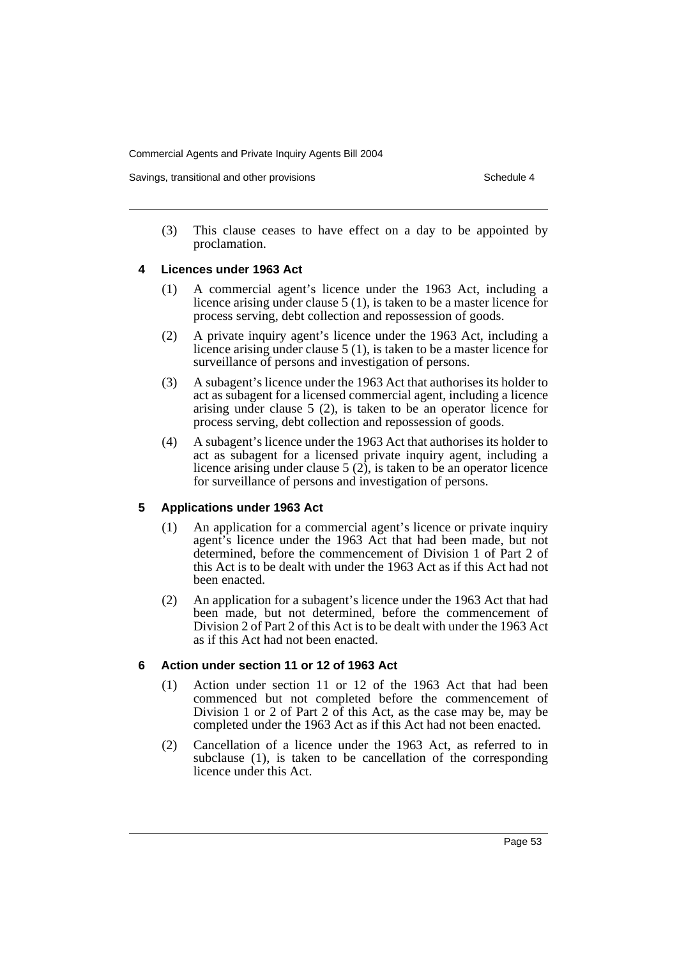Savings, transitional and other provisions Schedule 4 and the schedule 4 series Schedule 4

(3) This clause ceases to have effect on a day to be appointed by proclamation.

#### **4 Licences under 1963 Act**

- (1) A commercial agent's licence under the 1963 Act, including a licence arising under clause 5 (1), is taken to be a master licence for process serving, debt collection and repossession of goods.
- (2) A private inquiry agent's licence under the 1963 Act, including a licence arising under clause 5 (1), is taken to be a master licence for surveillance of persons and investigation of persons.
- (3) A subagent's licence under the 1963 Act that authorises its holder to act as subagent for a licensed commercial agent, including a licence arising under clause 5 (2), is taken to be an operator licence for process serving, debt collection and repossession of goods.
- (4) A subagent's licence under the 1963 Act that authorises its holder to act as subagent for a licensed private inquiry agent, including a licence arising under clause  $5(2)$ , is taken to be an operator licence for surveillance of persons and investigation of persons.

### **5 Applications under 1963 Act**

- (1) An application for a commercial agent's licence or private inquiry agent's licence under the 1963 Act that had been made, but not determined, before the commencement of Division 1 of Part 2 of this Act is to be dealt with under the 1963 Act as if this Act had not been enacted.
- (2) An application for a subagent's licence under the 1963 Act that had been made, but not determined, before the commencement of Division 2 of Part 2 of this Act is to be dealt with under the 1963 Act as if this Act had not been enacted.

### **6 Action under section 11 or 12 of 1963 Act**

- (1) Action under section 11 or 12 of the 1963 Act that had been commenced but not completed before the commencement of Division 1 or 2 of Part 2 of this Act, as the case may be, may be completed under the 1963 Act as if this Act had not been enacted.
- (2) Cancellation of a licence under the 1963 Act, as referred to in subclause (1), is taken to be cancellation of the corresponding licence under this Act.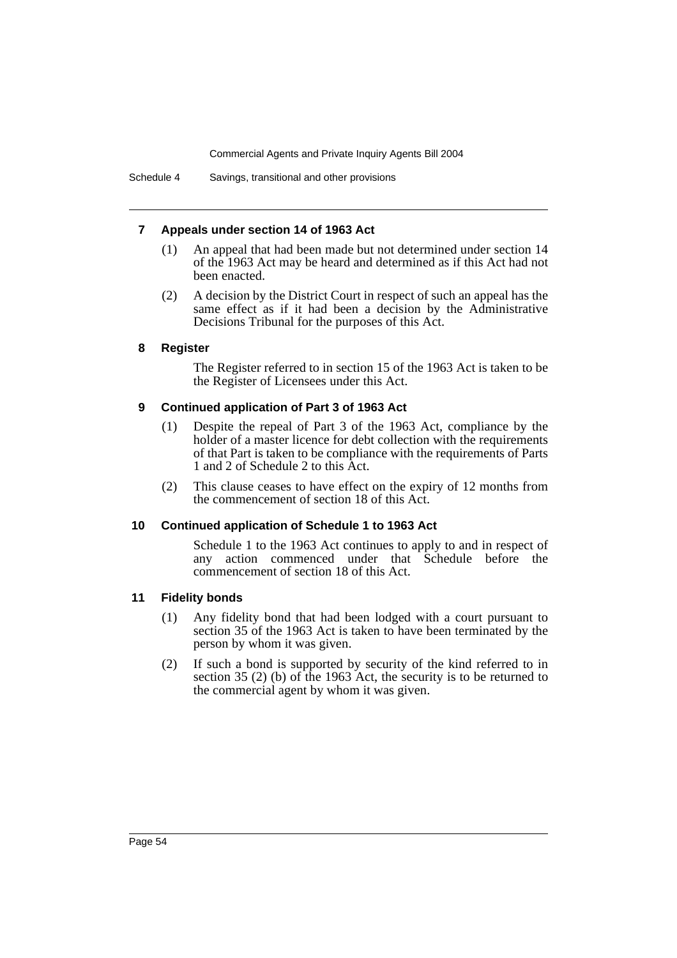#### **7 Appeals under section 14 of 1963 Act**

- (1) An appeal that had been made but not determined under section 14 of the 1963 Act may be heard and determined as if this Act had not been enacted.
- (2) A decision by the District Court in respect of such an appeal has the same effect as if it had been a decision by the Administrative Decisions Tribunal for the purposes of this Act.

#### **8 Register**

The Register referred to in section 15 of the 1963 Act is taken to be the Register of Licensees under this Act.

#### **9 Continued application of Part 3 of 1963 Act**

- (1) Despite the repeal of Part 3 of the 1963 Act, compliance by the holder of a master licence for debt collection with the requirements of that Part is taken to be compliance with the requirements of Parts 1 and 2 of Schedule 2 to this Act.
- (2) This clause ceases to have effect on the expiry of 12 months from the commencement of section 18 of this Act.

#### **10 Continued application of Schedule 1 to 1963 Act**

Schedule 1 to the 1963 Act continues to apply to and in respect of any action commenced under that Schedule before the commencement of section 18 of this Act.

#### **11 Fidelity bonds**

- (1) Any fidelity bond that had been lodged with a court pursuant to section 35 of the 1963 Act is taken to have been terminated by the person by whom it was given.
- (2) If such a bond is supported by security of the kind referred to in section 35 (2) (b) of the 1963 Act, the security is to be returned to the commercial agent by whom it was given.